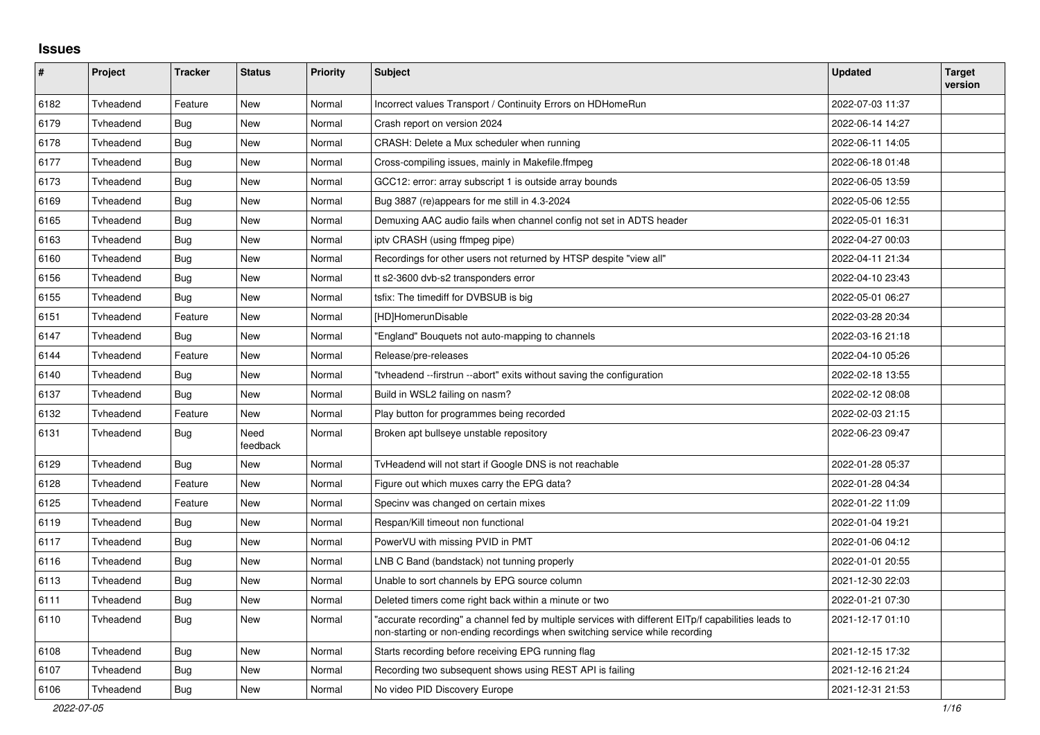## **Issues**

| $\pmb{\#}$ | Project   | <b>Tracker</b> | <b>Status</b>    | <b>Priority</b> | <b>Subject</b>                                                                                                                                                                      | <b>Updated</b>   | <b>Target</b><br>version |
|------------|-----------|----------------|------------------|-----------------|-------------------------------------------------------------------------------------------------------------------------------------------------------------------------------------|------------------|--------------------------|
| 6182       | Tvheadend | Feature        | <b>New</b>       | Normal          | Incorrect values Transport / Continuity Errors on HDHomeRun                                                                                                                         | 2022-07-03 11:37 |                          |
| 6179       | Tyheadend | Bug            | New              | Normal          | Crash report on version 2024                                                                                                                                                        | 2022-06-14 14:27 |                          |
| 6178       | Tvheadend | Bug            | New              | Normal          | CRASH: Delete a Mux scheduler when running                                                                                                                                          | 2022-06-11 14:05 |                          |
| 6177       | Tvheadend | Bug            | <b>New</b>       | Normal          | Cross-compiling issues, mainly in Makefile.ffmpeg                                                                                                                                   | 2022-06-18 01:48 |                          |
| 6173       | Tvheadend | Bug            | <b>New</b>       | Normal          | GCC12: error: array subscript 1 is outside array bounds                                                                                                                             | 2022-06-05 13:59 |                          |
| 6169       | Tvheadend | Bug            | New              | Normal          | Bug 3887 (re)appears for me still in 4.3-2024                                                                                                                                       | 2022-05-06 12:55 |                          |
| 6165       | Tvheadend | Bug            | <b>New</b>       | Normal          | Demuxing AAC audio fails when channel config not set in ADTS header                                                                                                                 | 2022-05-01 16:31 |                          |
| 6163       | Tvheadend | <b>Bug</b>     | <b>New</b>       | Normal          | ipty CRASH (using ffmpeg pipe)                                                                                                                                                      | 2022-04-27 00:03 |                          |
| 6160       | Tvheadend | Bug            | New              | Normal          | Recordings for other users not returned by HTSP despite "view all"                                                                                                                  | 2022-04-11 21:34 |                          |
| 6156       | Tyheadend | <b>Bug</b>     | <b>New</b>       | Normal          | tt s2-3600 dvb-s2 transponders error                                                                                                                                                | 2022-04-10 23:43 |                          |
| 6155       | Tvheadend | Bug            | New              | Normal          | tsfix: The timediff for DVBSUB is big                                                                                                                                               | 2022-05-01 06:27 |                          |
| 6151       | Tvheadend | Feature        | New              | Normal          | [HD]HomerunDisable                                                                                                                                                                  | 2022-03-28 20:34 |                          |
| 6147       | Tvheadend | Bug            | <b>New</b>       | Normal          | 'England" Bouquets not auto-mapping to channels                                                                                                                                     | 2022-03-16 21:18 |                          |
| 6144       | Tvheadend | Feature        | <b>New</b>       | Normal          | Release/pre-releases                                                                                                                                                                | 2022-04-10 05:26 |                          |
| 6140       | Tyheadend | <b>Bug</b>     | <b>New</b>       | Normal          | "tvheadend --firstrun --abort" exits without saving the configuration                                                                                                               | 2022-02-18 13:55 |                          |
| 6137       | Tvheadend | Bug            | New              | Normal          | Build in WSL2 failing on nasm?                                                                                                                                                      | 2022-02-12 08:08 |                          |
| 6132       | Tvheadend | Feature        | <b>New</b>       | Normal          | Play button for programmes being recorded                                                                                                                                           | 2022-02-03 21:15 |                          |
| 6131       | Tvheadend | Bug            | Need<br>feedback | Normal          | Broken apt bullseye unstable repository                                                                                                                                             | 2022-06-23 09:47 |                          |
| 6129       | Tvheadend | Bug            | <b>New</b>       | Normal          | TvHeadend will not start if Google DNS is not reachable                                                                                                                             | 2022-01-28 05:37 |                          |
| 6128       | Tvheadend | Feature        | <b>New</b>       | Normal          | Figure out which muxes carry the EPG data?                                                                                                                                          | 2022-01-28 04:34 |                          |
| 6125       | Tvheadend | Feature        | <b>New</b>       | Normal          | Specinv was changed on certain mixes                                                                                                                                                | 2022-01-22 11:09 |                          |
| 6119       | Tvheadend | Bug            | New              | Normal          | Respan/Kill timeout non functional                                                                                                                                                  | 2022-01-04 19:21 |                          |
| 6117       | Tyheadend | Bug            | New              | Normal          | PowerVU with missing PVID in PMT                                                                                                                                                    | 2022-01-06 04:12 |                          |
| 6116       | Tvheadend | <b>Bug</b>     | New              | Normal          | LNB C Band (bandstack) not tunning properly                                                                                                                                         | 2022-01-01 20:55 |                          |
| 6113       | Tyheadend | Bug            | <b>New</b>       | Normal          | Unable to sort channels by EPG source column                                                                                                                                        | 2021-12-30 22:03 |                          |
| 6111       | Tvheadend | Bug            | <b>New</b>       | Normal          | Deleted timers come right back within a minute or two                                                                                                                               | 2022-01-21 07:30 |                          |
| 6110       | Tvheadend | Bug            | New              | Normal          | "accurate recording" a channel fed by multiple services with different EITp/f capabilities leads to<br>non-starting or non-ending recordings when switching service while recording | 2021-12-17 01:10 |                          |
| 6108       | Tvheadend | Bug            | <b>New</b>       | Normal          | Starts recording before receiving EPG running flag                                                                                                                                  | 2021-12-15 17:32 |                          |
| 6107       | Tvheadend | <b>Bug</b>     | <b>New</b>       | Normal          | Recording two subsequent shows using REST API is failing                                                                                                                            | 2021-12-16 21:24 |                          |
| 6106       | Tvheadend | Bug            | New              | Normal          | No video PID Discovery Europe                                                                                                                                                       | 2021-12-31 21:53 |                          |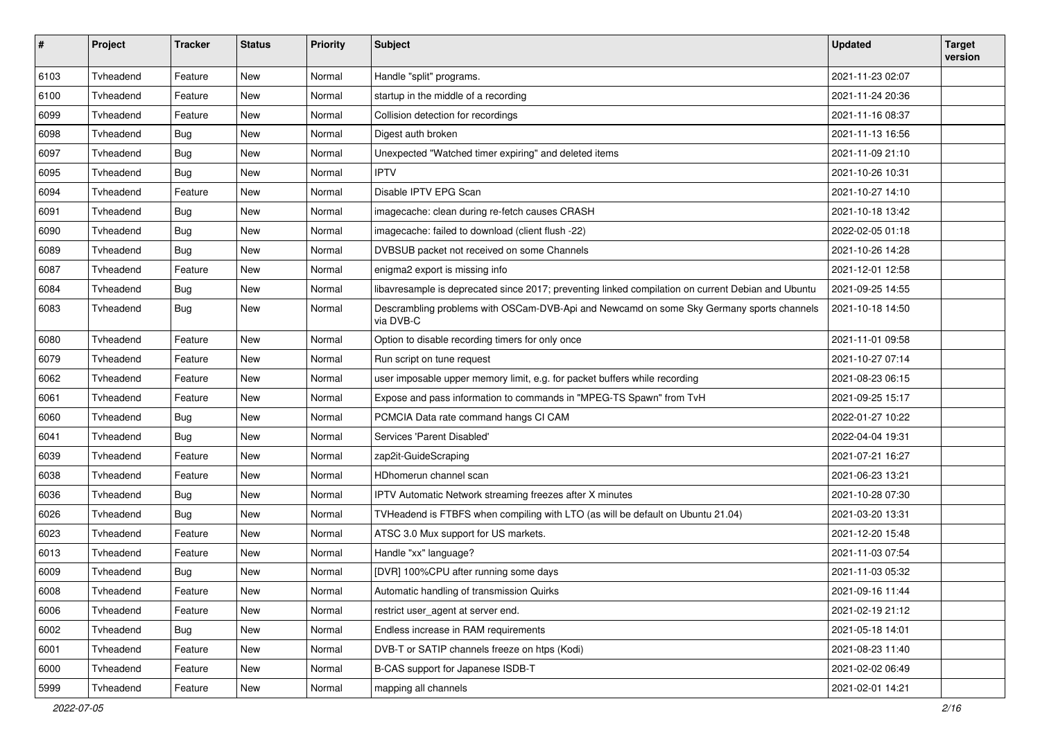| $\pmb{\#}$ | Project   | <b>Tracker</b> | <b>Status</b> | <b>Priority</b> | <b>Subject</b>                                                                                        | <b>Updated</b>   | <b>Target</b><br>version |
|------------|-----------|----------------|---------------|-----------------|-------------------------------------------------------------------------------------------------------|------------------|--------------------------|
| 6103       | Tvheadend | Feature        | New           | Normal          | Handle "split" programs.                                                                              | 2021-11-23 02:07 |                          |
| 6100       | Tvheadend | Feature        | New           | Normal          | startup in the middle of a recording                                                                  | 2021-11-24 20:36 |                          |
| 6099       | Tvheadend | Feature        | New           | Normal          | Collision detection for recordings                                                                    | 2021-11-16 08:37 |                          |
| 6098       | Tvheadend | <b>Bug</b>     | New           | Normal          | Digest auth broken                                                                                    | 2021-11-13 16:56 |                          |
| 6097       | Tvheadend | <b>Bug</b>     | New           | Normal          | Unexpected "Watched timer expiring" and deleted items                                                 | 2021-11-09 21:10 |                          |
| 6095       | Tvheadend | Bug            | New           | Normal          | <b>IPTV</b>                                                                                           | 2021-10-26 10:31 |                          |
| 6094       | Tvheadend | Feature        | New           | Normal          | Disable IPTV EPG Scan                                                                                 | 2021-10-27 14:10 |                          |
| 6091       | Tvheadend | <b>Bug</b>     | New           | Normal          | imagecache: clean during re-fetch causes CRASH                                                        | 2021-10-18 13:42 |                          |
| 6090       | Tvheadend | Bug            | New           | Normal          | imagecache: failed to download (client flush -22)                                                     | 2022-02-05 01:18 |                          |
| 6089       | Tvheadend | <b>Bug</b>     | New           | Normal          | DVBSUB packet not received on some Channels                                                           | 2021-10-26 14:28 |                          |
| 6087       | Tvheadend | Feature        | New           | Normal          | enigma2 export is missing info                                                                        | 2021-12-01 12:58 |                          |
| 6084       | Tvheadend | <b>Bug</b>     | New           | Normal          | libavresample is deprecated since 2017; preventing linked compilation on current Debian and Ubuntu    | 2021-09-25 14:55 |                          |
| 6083       | Tvheadend | Bug            | New           | Normal          | Descrambling problems with OSCam-DVB-Api and Newcamd on some Sky Germany sports channels<br>via DVB-C | 2021-10-18 14:50 |                          |
| 6080       | Tvheadend | Feature        | New           | Normal          | Option to disable recording timers for only once                                                      | 2021-11-01 09:58 |                          |
| 6079       | Tvheadend | Feature        | New           | Normal          | Run script on tune request                                                                            | 2021-10-27 07:14 |                          |
| 6062       | Tvheadend | Feature        | New           | Normal          | user imposable upper memory limit, e.g. for packet buffers while recording                            | 2021-08-23 06:15 |                          |
| 6061       | Tvheadend | Feature        | New           | Normal          | Expose and pass information to commands in "MPEG-TS Spawn" from TvH                                   | 2021-09-25 15:17 |                          |
| 6060       | Tvheadend | Bug            | New           | Normal          | PCMCIA Data rate command hangs CI CAM                                                                 | 2022-01-27 10:22 |                          |
| 6041       | Tvheadend | Bug            | New           | Normal          | Services 'Parent Disabled'                                                                            | 2022-04-04 19:31 |                          |
| 6039       | Tvheadend | Feature        | New           | Normal          | zap2it-GuideScraping                                                                                  | 2021-07-21 16:27 |                          |
| 6038       | Tvheadend | Feature        | New           | Normal          | HDhomerun channel scan                                                                                | 2021-06-23 13:21 |                          |
| 6036       | Tvheadend | <b>Bug</b>     | New           | Normal          | IPTV Automatic Network streaming freezes after X minutes                                              | 2021-10-28 07:30 |                          |
| 6026       | Tvheadend | <b>Bug</b>     | New           | Normal          | TVHeadend is FTBFS when compiling with LTO (as will be default on Ubuntu 21.04)                       | 2021-03-20 13:31 |                          |
| 6023       | Tvheadend | Feature        | New           | Normal          | ATSC 3.0 Mux support for US markets.                                                                  | 2021-12-20 15:48 |                          |
| 6013       | Tvheadend | Feature        | New           | Normal          | Handle "xx" language?                                                                                 | 2021-11-03 07:54 |                          |
| 6009       | Tvheadend | <b>Bug</b>     | New           | Normal          | [DVR] 100%CPU after running some days                                                                 | 2021-11-03 05:32 |                          |
| 6008       | Tvheadend | Feature        | <b>New</b>    | Normal          | Automatic handling of transmission Quirks                                                             | 2021-09-16 11:44 |                          |
| 6006       | Tyheadend | Feature        | New           | Normal          | restrict user_agent at server end.                                                                    | 2021-02-19 21:12 |                          |
| 6002       | Tvheadend | Bug            | New           | Normal          | Endless increase in RAM requirements                                                                  | 2021-05-18 14:01 |                          |
| 6001       | Tvheadend | Feature        | New           | Normal          | DVB-T or SATIP channels freeze on htps (Kodi)                                                         | 2021-08-23 11:40 |                          |
| 6000       | Tvheadend | Feature        | <b>New</b>    | Normal          | B-CAS support for Japanese ISDB-T                                                                     | 2021-02-02 06:49 |                          |
| 5999       | Tvheadend | Feature        | New           | Normal          | mapping all channels                                                                                  | 2021-02-01 14:21 |                          |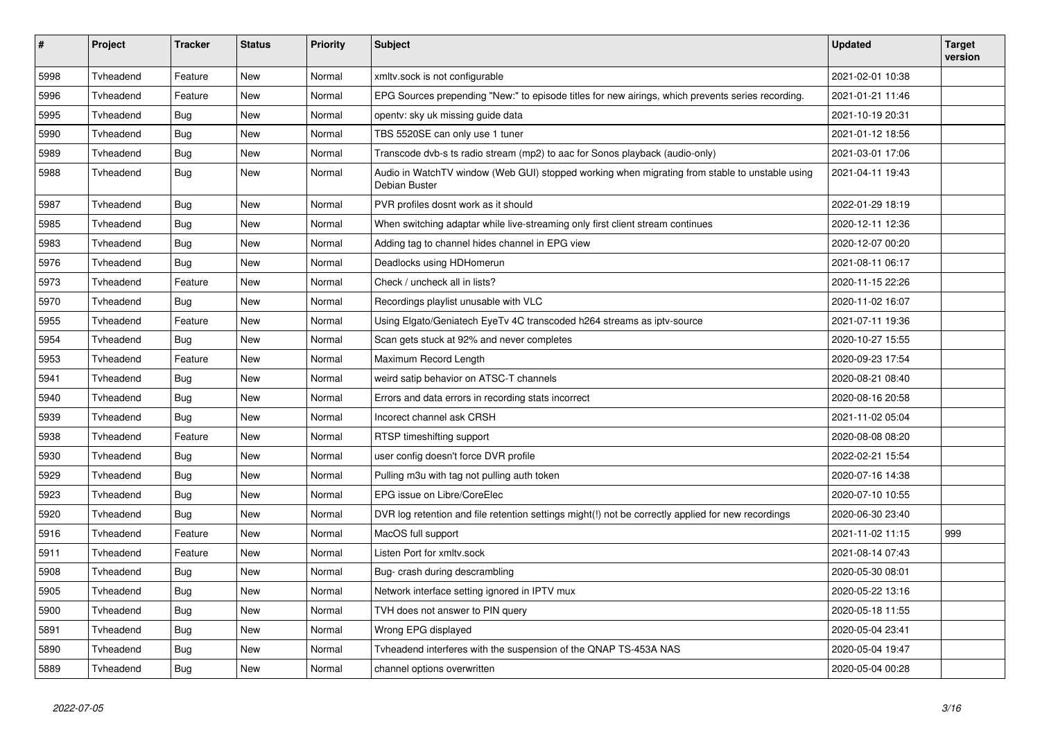| $\pmb{\#}$ | Project   | <b>Tracker</b> | <b>Status</b> | <b>Priority</b> | <b>Subject</b>                                                                                                  | <b>Updated</b>   | <b>Target</b><br>version |
|------------|-----------|----------------|---------------|-----------------|-----------------------------------------------------------------------------------------------------------------|------------------|--------------------------|
| 5998       | Tvheadend | Feature        | <b>New</b>    | Normal          | xmltv.sock is not configurable                                                                                  | 2021-02-01 10:38 |                          |
| 5996       | Tvheadend | Feature        | New           | Normal          | EPG Sources prepending "New:" to episode titles for new airings, which prevents series recording.               | 2021-01-21 11:46 |                          |
| 5995       | Tvheadend | Bug            | New           | Normal          | openty: sky uk missing guide data                                                                               | 2021-10-19 20:31 |                          |
| 5990       | Tvheadend | <b>Bug</b>     | <b>New</b>    | Normal          | TBS 5520SE can only use 1 tuner                                                                                 | 2021-01-12 18:56 |                          |
| 5989       | Tvheadend | Bug            | New           | Normal          | Transcode dvb-s ts radio stream (mp2) to aac for Sonos playback (audio-only)                                    | 2021-03-01 17:06 |                          |
| 5988       | Tvheadend | <b>Bug</b>     | <b>New</b>    | Normal          | Audio in WatchTV window (Web GUI) stopped working when migrating from stable to unstable using<br>Debian Buster | 2021-04-11 19:43 |                          |
| 5987       | Tvheadend | <b>Bug</b>     | <b>New</b>    | Normal          | PVR profiles dosnt work as it should                                                                            | 2022-01-29 18:19 |                          |
| 5985       | Tvheadend | Bug            | <b>New</b>    | Normal          | When switching adaptar while live-streaming only first client stream continues                                  | 2020-12-11 12:36 |                          |
| 5983       | Tvheadend | <b>Bug</b>     | New           | Normal          | Adding tag to channel hides channel in EPG view                                                                 | 2020-12-07 00:20 |                          |
| 5976       | Tvheadend | <b>Bug</b>     | <b>New</b>    | Normal          | Deadlocks using HDHomerun                                                                                       | 2021-08-11 06:17 |                          |
| 5973       | Tvheadend | Feature        | New           | Normal          | Check / uncheck all in lists?                                                                                   | 2020-11-15 22:26 |                          |
| 5970       | Tvheadend | <b>Bug</b>     | <b>New</b>    | Normal          | Recordings playlist unusable with VLC                                                                           | 2020-11-02 16:07 |                          |
| 5955       | Tvheadend | Feature        | New           | Normal          | Using Elgato/Geniatech EyeTv 4C transcoded h264 streams as iptv-source                                          | 2021-07-11 19:36 |                          |
| 5954       | Tvheadend | <b>Bug</b>     | New           | Normal          | Scan gets stuck at 92% and never completes                                                                      | 2020-10-27 15:55 |                          |
| 5953       | Tyheadend | Feature        | <b>New</b>    | Normal          | Maximum Record Length                                                                                           | 2020-09-23 17:54 |                          |
| 5941       | Tyheadend | <b>Bug</b>     | <b>New</b>    | Normal          | weird satip behavior on ATSC-T channels                                                                         | 2020-08-21 08:40 |                          |
| 5940       | Tyheadend | Bug            | New           | Normal          | Errors and data errors in recording stats incorrect                                                             | 2020-08-16 20:58 |                          |
| 5939       | Tyheadend | <b>Bug</b>     | <b>New</b>    | Normal          | Incorect channel ask CRSH                                                                                       | 2021-11-02 05:04 |                          |
| 5938       | Tyheadend | Feature        | <b>New</b>    | Normal          | RTSP timeshifting support                                                                                       | 2020-08-08 08:20 |                          |
| 5930       | Tvheadend | Bug            | <b>New</b>    | Normal          | user config doesn't force DVR profile                                                                           | 2022-02-21 15:54 |                          |
| 5929       | Tvheadend | Bug            | <b>New</b>    | Normal          | Pulling m3u with tag not pulling auth token                                                                     | 2020-07-16 14:38 |                          |
| 5923       | Tvheadend | <b>Bug</b>     | New           | Normal          | EPG issue on Libre/CoreElec                                                                                     | 2020-07-10 10:55 |                          |
| 5920       | Tvheadend | Bug            | <b>New</b>    | Normal          | DVR log retention and file retention settings might(!) not be correctly applied for new recordings              | 2020-06-30 23:40 |                          |
| 5916       | Tvheadend | Feature        | New           | Normal          | MacOS full support                                                                                              | 2021-11-02 11:15 | 999                      |
| 5911       | Tvheadend | Feature        | New           | Normal          | Listen Port for xmltv.sock                                                                                      | 2021-08-14 07:43 |                          |
| 5908       | Tvheadend | Bug            | New           | Normal          | Bug- crash during descrambling                                                                                  | 2020-05-30 08:01 |                          |
| 5905       | Tvheadend | Bug            | <b>New</b>    | Normal          | Network interface setting ignored in IPTV mux                                                                   | 2020-05-22 13:16 |                          |
| 5900       | Tvheadend | <b>Bug</b>     | New           | Normal          | TVH does not answer to PIN query                                                                                | 2020-05-18 11:55 |                          |
| 5891       | Tvheadend | Bug            | New           | Normal          | Wrong EPG displayed                                                                                             | 2020-05-04 23:41 |                          |
| 5890       | Tvheadend | Bug            | New           | Normal          | Tyheadend interferes with the suspension of the QNAP TS-453A NAS                                                | 2020-05-04 19:47 |                          |
| 5889       | Tvheadend | Bug            | New           | Normal          | channel options overwritten                                                                                     | 2020-05-04 00:28 |                          |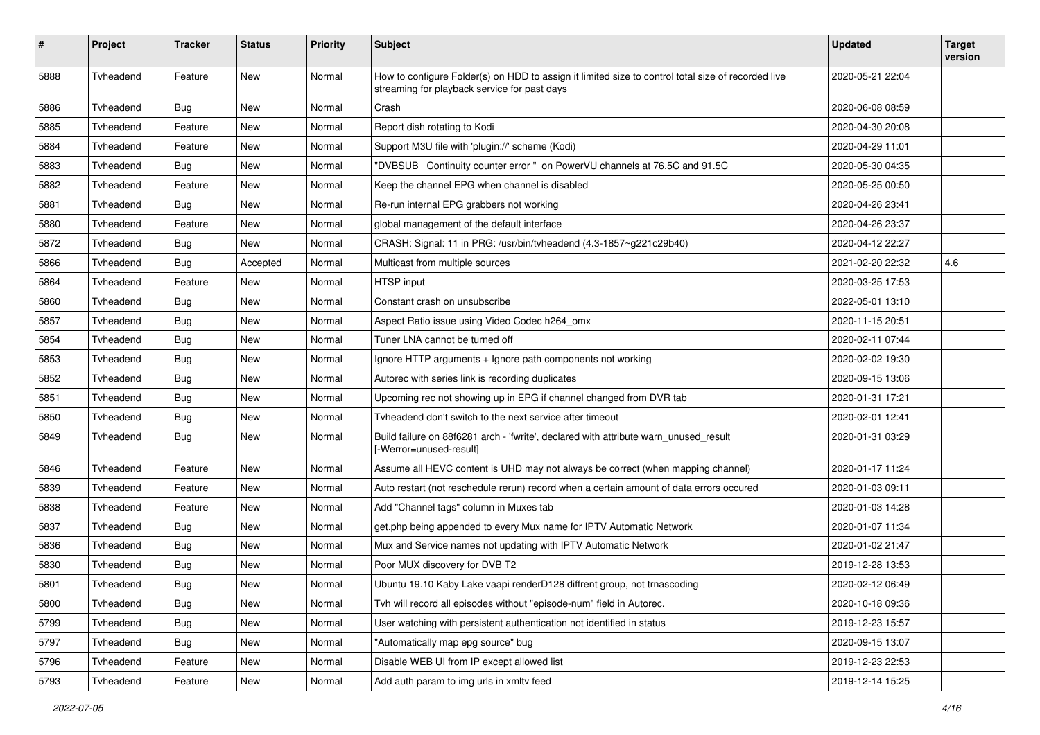| #    | Project   | <b>Tracker</b> | <b>Status</b> | <b>Priority</b> | <b>Subject</b>                                                                                                                                     | <b>Updated</b>   | <b>Target</b><br>version |
|------|-----------|----------------|---------------|-----------------|----------------------------------------------------------------------------------------------------------------------------------------------------|------------------|--------------------------|
| 5888 | Tvheadend | Feature        | <b>New</b>    | Normal          | How to configure Folder(s) on HDD to assign it limited size to control total size of recorded live<br>streaming for playback service for past days | 2020-05-21 22:04 |                          |
| 5886 | Tvheadend | <b>Bug</b>     | New           | Normal          | Crash                                                                                                                                              | 2020-06-08 08:59 |                          |
| 5885 | Tvheadend | Feature        | New           | Normal          | Report dish rotating to Kodi                                                                                                                       | 2020-04-30 20:08 |                          |
| 5884 | Tvheadend | Feature        | New           | Normal          | Support M3U file with 'plugin://' scheme (Kodi)                                                                                                    | 2020-04-29 11:01 |                          |
| 5883 | Tvheadend | Bug            | New           | Normal          | "DVBSUB Continuity counter error " on PowerVU channels at 76.5C and 91.5C                                                                          | 2020-05-30 04:35 |                          |
| 5882 | Tvheadend | Feature        | New           | Normal          | Keep the channel EPG when channel is disabled                                                                                                      | 2020-05-25 00:50 |                          |
| 5881 | Tvheadend | <b>Bug</b>     | New           | Normal          | Re-run internal EPG grabbers not working                                                                                                           | 2020-04-26 23:41 |                          |
| 5880 | Tvheadend | Feature        | New           | Normal          | global management of the default interface                                                                                                         | 2020-04-26 23:37 |                          |
| 5872 | Tvheadend | <b>Bug</b>     | New           | Normal          | CRASH: Signal: 11 in PRG: /usr/bin/tvheadend (4.3-1857~g221c29b40)                                                                                 | 2020-04-12 22:27 |                          |
| 5866 | Tvheadend | <b>Bug</b>     | Accepted      | Normal          | Multicast from multiple sources                                                                                                                    | 2021-02-20 22:32 | 4.6                      |
| 5864 | Tyheadend | Feature        | New           | Normal          | HTSP input                                                                                                                                         | 2020-03-25 17:53 |                          |
| 5860 | Tvheadend | Bug            | New           | Normal          | Constant crash on unsubscribe                                                                                                                      | 2022-05-01 13:10 |                          |
| 5857 | Tvheadend | <b>Bug</b>     | <b>New</b>    | Normal          | Aspect Ratio issue using Video Codec h264_omx                                                                                                      | 2020-11-15 20:51 |                          |
| 5854 | Tvheadend | <b>Bug</b>     | New           | Normal          | Tuner LNA cannot be turned off                                                                                                                     | 2020-02-11 07:44 |                          |
| 5853 | Tvheadend | Bug            | New           | Normal          | Ignore HTTP arguments + Ignore path components not working                                                                                         | 2020-02-02 19:30 |                          |
| 5852 | Tvheadend | <b>Bug</b>     | New           | Normal          | Autorec with series link is recording duplicates                                                                                                   | 2020-09-15 13:06 |                          |
| 5851 | Tvheadend | <b>Bug</b>     | New           | Normal          | Upcoming rec not showing up in EPG if channel changed from DVR tab                                                                                 | 2020-01-31 17:21 |                          |
| 5850 | Tvheadend | Bug            | <b>New</b>    | Normal          | Tyheadend don't switch to the next service after timeout                                                                                           | 2020-02-01 12:41 |                          |
| 5849 | Tvheadend | <b>Bug</b>     | New           | Normal          | Build failure on 88f6281 arch - 'fwrite', declared with attribute warn_unused_result<br>[-Werror=unused-result]                                    | 2020-01-31 03:29 |                          |
| 5846 | Tvheadend | Feature        | <b>New</b>    | Normal          | Assume all HEVC content is UHD may not always be correct (when mapping channel)                                                                    | 2020-01-17 11:24 |                          |
| 5839 | Tvheadend | Feature        | New           | Normal          | Auto restart (not reschedule rerun) record when a certain amount of data errors occured                                                            | 2020-01-03 09:11 |                          |
| 5838 | Tvheadend | Feature        | New           | Normal          | Add "Channel tags" column in Muxes tab                                                                                                             | 2020-01-03 14:28 |                          |
| 5837 | Tvheadend | <b>Bug</b>     | New           | Normal          | get.php being appended to every Mux name for IPTV Automatic Network                                                                                | 2020-01-07 11:34 |                          |
| 5836 | Tvheadend | Bug            | New           | Normal          | Mux and Service names not updating with IPTV Automatic Network                                                                                     | 2020-01-02 21:47 |                          |
| 5830 | Tvheadend | <b>Bug</b>     | New           | Normal          | Poor MUX discovery for DVB T2                                                                                                                      | 2019-12-28 13:53 |                          |
| 5801 | Tyheadend | Bug            | New           | Normal          | Ubuntu 19.10 Kaby Lake vaapi renderD128 diffrent group, not trnascoding                                                                            | 2020-02-12 06:49 |                          |
| 5800 | Tvheadend | <b>Bug</b>     | New           | Normal          | Tvh will record all episodes without "episode-num" field in Autorec.                                                                               | 2020-10-18 09:36 |                          |
| 5799 | Tvheadend | <b>Bug</b>     | New           | Normal          | User watching with persistent authentication not identified in status                                                                              | 2019-12-23 15:57 |                          |
| 5797 | Tvheadend | <b>Bug</b>     | New           | Normal          | 'Automatically map epg source" bug                                                                                                                 | 2020-09-15 13:07 |                          |
| 5796 | Tvheadend | Feature        | New           | Normal          | Disable WEB UI from IP except allowed list                                                                                                         | 2019-12-23 22:53 |                          |
| 5793 | Tvheadend | Feature        | New           | Normal          | Add auth param to img urls in xmltv feed                                                                                                           | 2019-12-14 15:25 |                          |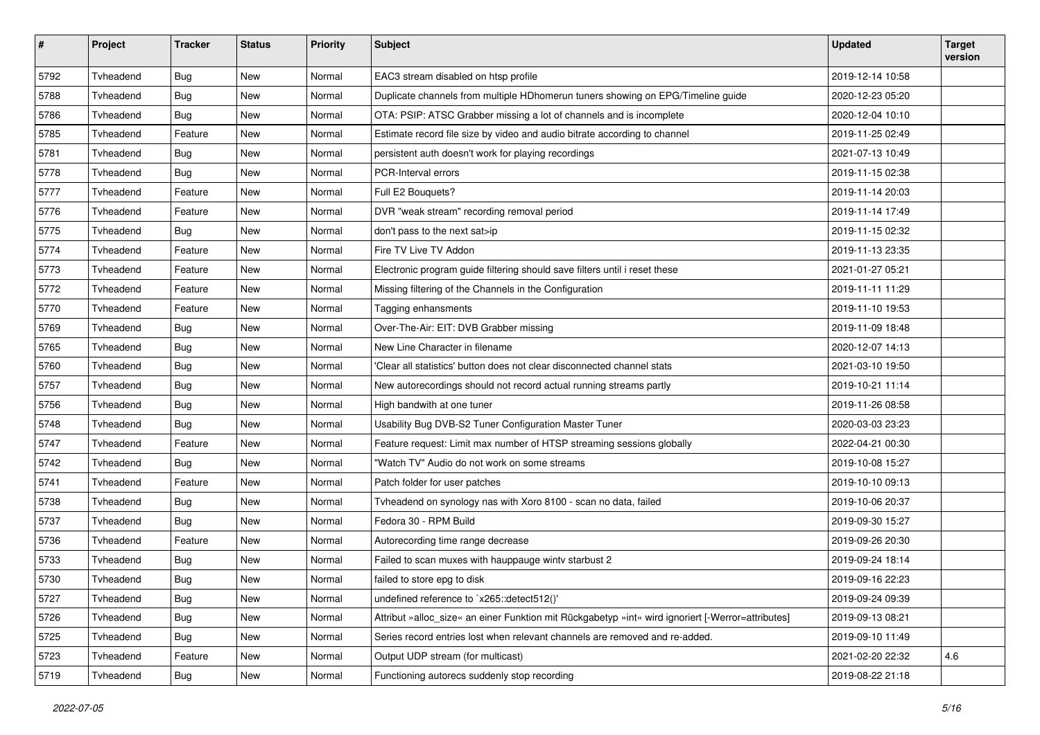| $\sharp$ | Project   | <b>Tracker</b> | <b>Status</b> | <b>Priority</b> | <b>Subject</b>                                                                                    | <b>Updated</b>   | <b>Target</b><br>version |
|----------|-----------|----------------|---------------|-----------------|---------------------------------------------------------------------------------------------------|------------------|--------------------------|
| 5792     | Tvheadend | <b>Bug</b>     | <b>New</b>    | Normal          | EAC3 stream disabled on htsp profile                                                              | 2019-12-14 10:58 |                          |
| 5788     | Tvheadend | Bug            | New           | Normal          | Duplicate channels from multiple HDhomerun tuners showing on EPG/Timeline guide                   | 2020-12-23 05:20 |                          |
| 5786     | Tvheadend | <b>Bug</b>     | <b>New</b>    | Normal          | OTA: PSIP: ATSC Grabber missing a lot of channels and is incomplete                               | 2020-12-04 10:10 |                          |
| 5785     | Tvheadend | Feature        | New           | Normal          | Estimate record file size by video and audio bitrate according to channel                         | 2019-11-25 02:49 |                          |
| 5781     | Tvheadend | <b>Bug</b>     | New           | Normal          | persistent auth doesn't work for playing recordings                                               | 2021-07-13 10:49 |                          |
| 5778     | Tvheadend | <b>Bug</b>     | <b>New</b>    | Normal          | PCR-Interval errors                                                                               | 2019-11-15 02:38 |                          |
| 5777     | Tvheadend | Feature        | New           | Normal          | Full E2 Bouquets?                                                                                 | 2019-11-14 20:03 |                          |
| 5776     | Tvheadend | Feature        | New           | Normal          | DVR "weak stream" recording removal period                                                        | 2019-11-14 17:49 |                          |
| 5775     | Tvheadend | Bug            | New           | Normal          | don't pass to the next sat>ip                                                                     | 2019-11-15 02:32 |                          |
| 5774     | Tvheadend | Feature        | New           | Normal          | Fire TV Live TV Addon                                                                             | 2019-11-13 23:35 |                          |
| 5773     | Tvheadend | Feature        | <b>New</b>    | Normal          | Electronic program guide filtering should save filters until i reset these                        | 2021-01-27 05:21 |                          |
| 5772     | Tvheadend | Feature        | New           | Normal          | Missing filtering of the Channels in the Configuration                                            | 2019-11-11 11:29 |                          |
| 5770     | Tvheadend | Feature        | New           | Normal          | Tagging enhansments                                                                               | 2019-11-10 19:53 |                          |
| 5769     | Tvheadend | <b>Bug</b>     | <b>New</b>    | Normal          | Over-The-Air: EIT: DVB Grabber missing                                                            | 2019-11-09 18:48 |                          |
| 5765     | Tvheadend | Bug            | New           | Normal          | New Line Character in filename                                                                    | 2020-12-07 14:13 |                          |
| 5760     | Tvheadend | <b>Bug</b>     | <b>New</b>    | Normal          | 'Clear all statistics' button does not clear disconnected channel stats                           | 2021-03-10 19:50 |                          |
| 5757     | Tvheadend | <b>Bug</b>     | New           | Normal          | New autorecordings should not record actual running streams partly                                | 2019-10-21 11:14 |                          |
| 5756     | Tvheadend | Bug            | New           | Normal          | High bandwith at one tuner                                                                        | 2019-11-26 08:58 |                          |
| 5748     | Tvheadend | <b>Bug</b>     | <b>New</b>    | Normal          | Usability Bug DVB-S2 Tuner Configuration Master Tuner                                             | 2020-03-03 23:23 |                          |
| 5747     | Tvheadend | Feature        | New           | Normal          | Feature request: Limit max number of HTSP streaming sessions globally                             | 2022-04-21 00:30 |                          |
| 5742     | Tvheadend | <b>Bug</b>     | New           | Normal          | "Watch TV" Audio do not work on some streams                                                      | 2019-10-08 15:27 |                          |
| 5741     | Tvheadend | Feature        | New           | Normal          | Patch folder for user patches                                                                     | 2019-10-10 09:13 |                          |
| 5738     | Tvheadend | <b>Bug</b>     | New           | Normal          | Tvheadend on synology nas with Xoro 8100 - scan no data, failed                                   | 2019-10-06 20:37 |                          |
| 5737     | Tvheadend | <b>Bug</b>     | <b>New</b>    | Normal          | Fedora 30 - RPM Build                                                                             | 2019-09-30 15:27 |                          |
| 5736     | Tvheadend | Feature        | New           | Normal          | Autorecording time range decrease                                                                 | 2019-09-26 20:30 |                          |
| 5733     | Tvheadend | <b>Bug</b>     | New           | Normal          | Failed to scan muxes with hauppauge wintv starbust 2                                              | 2019-09-24 18:14 |                          |
| 5730     | Tvheadend | <b>Bug</b>     | <b>New</b>    | Normal          | failed to store epg to disk                                                                       | 2019-09-16 22:23 |                          |
| 5727     | Tvheadend | Bug            | New           | Normal          | undefined reference to `x265::detect512()'                                                        | 2019-09-24 09:39 |                          |
| 5726     | Tvheadend | Bug            | New           | Normal          | Attribut »alloc_size« an einer Funktion mit Rückgabetyp »int« wird ignoriert [-Werror=attributes] | 2019-09-13 08:21 |                          |
| 5725     | Tvheadend | Bug            | New           | Normal          | Series record entries lost when relevant channels are removed and re-added.                       | 2019-09-10 11:49 |                          |
| 5723     | Tvheadend | Feature        | New           | Normal          | Output UDP stream (for multicast)                                                                 | 2021-02-20 22:32 | 4.6                      |
| 5719     | Tvheadend | Bug            | New           | Normal          | Functioning autorecs suddenly stop recording                                                      | 2019-08-22 21:18 |                          |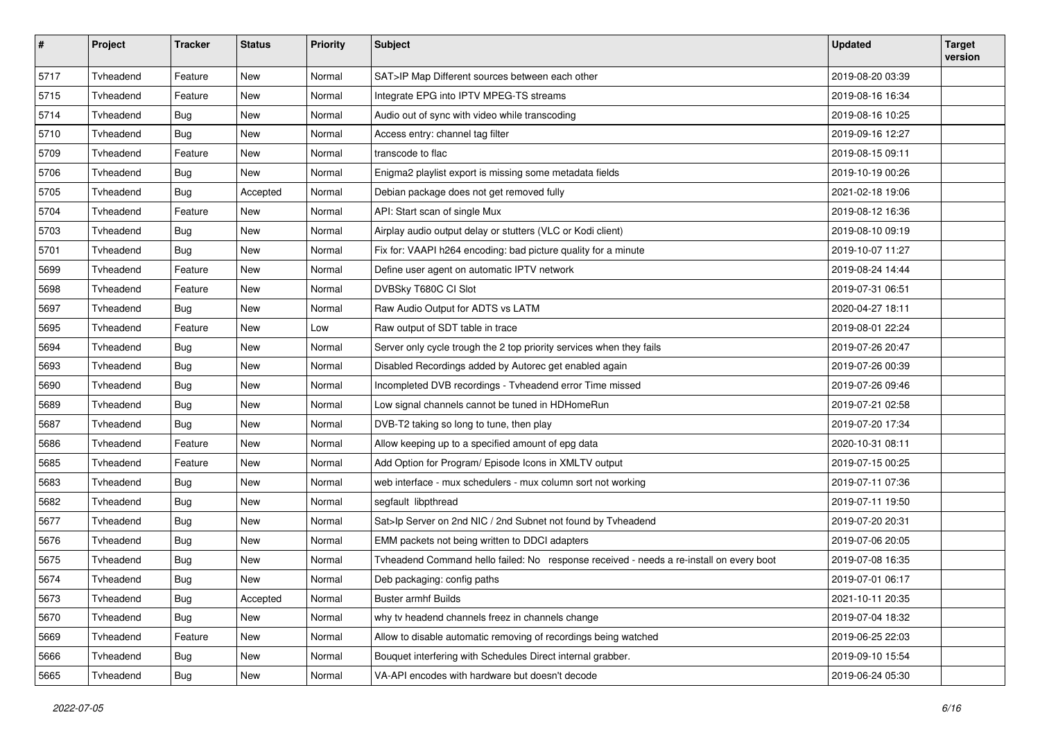| $\pmb{\#}$ | Project   | <b>Tracker</b> | <b>Status</b> | <b>Priority</b> | <b>Subject</b>                                                                          | <b>Updated</b>   | <b>Target</b><br>version |
|------------|-----------|----------------|---------------|-----------------|-----------------------------------------------------------------------------------------|------------------|--------------------------|
| 5717       | Tvheadend | Feature        | <b>New</b>    | Normal          | SAT>IP Map Different sources between each other                                         | 2019-08-20 03:39 |                          |
| 5715       | Tvheadend | Feature        | New           | Normal          | Integrate EPG into IPTV MPEG-TS streams                                                 | 2019-08-16 16:34 |                          |
| 5714       | Tvheadend | <b>Bug</b>     | New           | Normal          | Audio out of sync with video while transcoding                                          | 2019-08-16 10:25 |                          |
| 5710       | Tvheadend | Bug            | New           | Normal          | Access entry: channel tag filter                                                        | 2019-09-16 12:27 |                          |
| 5709       | Tvheadend | Feature        | New           | Normal          | transcode to flac                                                                       | 2019-08-15 09:11 |                          |
| 5706       | Tvheadend | <b>Bug</b>     | <b>New</b>    | Normal          | Enigma2 playlist export is missing some metadata fields                                 | 2019-10-19 00:26 |                          |
| 5705       | Tvheadend | Bug            | Accepted      | Normal          | Debian package does not get removed fully                                               | 2021-02-18 19:06 |                          |
| 5704       | Tvheadend | Feature        | New           | Normal          | API: Start scan of single Mux                                                           | 2019-08-12 16:36 |                          |
| 5703       | Tvheadend | <b>Bug</b>     | <b>New</b>    | Normal          | Airplay audio output delay or stutters (VLC or Kodi client)                             | 2019-08-10 09:19 |                          |
| 5701       | Tvheadend | Bug            | New           | Normal          | Fix for: VAAPI h264 encoding: bad picture quality for a minute                          | 2019-10-07 11:27 |                          |
| 5699       | Tvheadend | Feature        | New           | Normal          | Define user agent on automatic IPTV network                                             | 2019-08-24 14:44 |                          |
| 5698       | Tvheadend | Feature        | New           | Normal          | DVBSky T680C CI Slot                                                                    | 2019-07-31 06:51 |                          |
| 5697       | Tvheadend | Bug            | New           | Normal          | Raw Audio Output for ADTS vs LATM                                                       | 2020-04-27 18:11 |                          |
| 5695       | Tvheadend | Feature        | <b>New</b>    | Low             | Raw output of SDT table in trace                                                        | 2019-08-01 22:24 |                          |
| 5694       | Tvheadend | <b>Bug</b>     | New           | Normal          | Server only cycle trough the 2 top priority services when they fails                    | 2019-07-26 20:47 |                          |
| 5693       | Tvheadend | Bug            | New           | Normal          | Disabled Recordings added by Autorec get enabled again                                  | 2019-07-26 00:39 |                          |
| 5690       | Tvheadend | <b>Bug</b>     | New           | Normal          | Incompleted DVB recordings - Tvheadend error Time missed                                | 2019-07-26 09:46 |                          |
| 5689       | Tvheadend | <b>Bug</b>     | New           | Normal          | Low signal channels cannot be tuned in HDHomeRun                                        | 2019-07-21 02:58 |                          |
| 5687       | Tvheadend | Bug            | <b>New</b>    | Normal          | DVB-T2 taking so long to tune, then play                                                | 2019-07-20 17:34 |                          |
| 5686       | Tvheadend | Feature        | New           | Normal          | Allow keeping up to a specified amount of epg data                                      | 2020-10-31 08:11 |                          |
| 5685       | Tvheadend | Feature        | New           | Normal          | Add Option for Program/ Episode Icons in XMLTV output                                   | 2019-07-15 00:25 |                          |
| 5683       | Tvheadend | <b>Bug</b>     | New           | Normal          | web interface - mux schedulers - mux column sort not working                            | 2019-07-11 07:36 |                          |
| 5682       | Tvheadend | Bug            | New           | Normal          | segfault libpthread                                                                     | 2019-07-11 19:50 |                          |
| 5677       | Tvheadend | <b>Bug</b>     | New           | Normal          | Sat>Ip Server on 2nd NIC / 2nd Subnet not found by Tvheadend                            | 2019-07-20 20:31 |                          |
| 5676       | Tvheadend | <b>Bug</b>     | New           | Normal          | EMM packets not being written to DDCI adapters                                          | 2019-07-06 20:05 |                          |
| 5675       | Tvheadend | <b>Bug</b>     | New           | Normal          | Tvheadend Command hello failed: No response received - needs a re-install on every boot | 2019-07-08 16:35 |                          |
| 5674       | Tvheadend | Bug            | New           | Normal          | Deb packaging: config paths                                                             | 2019-07-01 06:17 |                          |
| 5673       | Tvheadend | Bug            | Accepted      | Normal          | <b>Buster armhf Builds</b>                                                              | 2021-10-11 20:35 |                          |
| 5670       | Tvheadend | <b>Bug</b>     | <b>New</b>    | Normal          | why tv headend channels freez in channels change                                        | 2019-07-04 18:32 |                          |
| 5669       | Tvheadend | Feature        | New           | Normal          | Allow to disable automatic removing of recordings being watched                         | 2019-06-25 22:03 |                          |
| 5666       | Tvheadend | <b>Bug</b>     | New           | Normal          | Bouquet interfering with Schedules Direct internal grabber.                             | 2019-09-10 15:54 |                          |
| 5665       | Tvheadend | <b>Bug</b>     | New           | Normal          | VA-API encodes with hardware but doesn't decode                                         | 2019-06-24 05:30 |                          |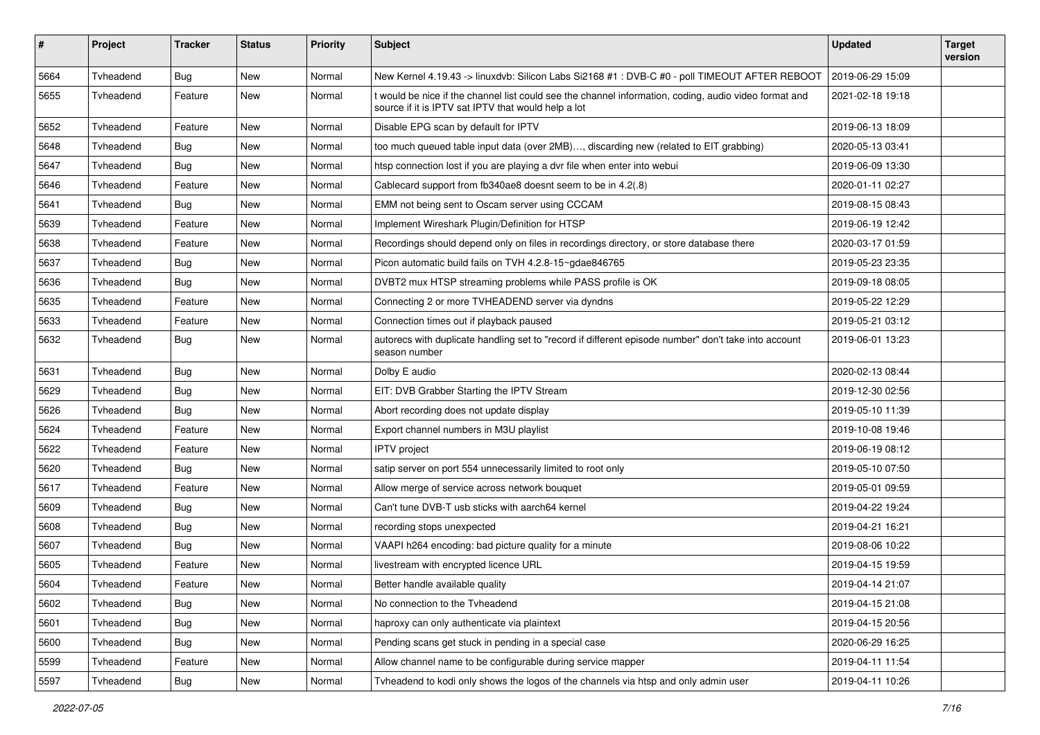| $\pmb{\#}$ | Project   | <b>Tracker</b> | <b>Status</b> | <b>Priority</b> | Subject                                                                                                                                                      | <b>Updated</b>   | <b>Target</b><br>version |
|------------|-----------|----------------|---------------|-----------------|--------------------------------------------------------------------------------------------------------------------------------------------------------------|------------------|--------------------------|
| 5664       | Tvheadend | <b>Bug</b>     | <b>New</b>    | Normal          | New Kernel 4.19.43 -> linuxdvb: Silicon Labs Si2168 #1 : DVB-C #0 - poll TIMEOUT AFTER REBOOT                                                                | 2019-06-29 15:09 |                          |
| 5655       | Tvheadend | Feature        | New           | Normal          | t would be nice if the channel list could see the channel information, coding, audio video format and<br>source if it is IPTV sat IPTV that would help a lot | 2021-02-18 19:18 |                          |
| 5652       | Tvheadend | Feature        | New           | Normal          | Disable EPG scan by default for IPTV                                                                                                                         | 2019-06-13 18:09 |                          |
| 5648       | Tvheadend | <b>Bug</b>     | New           | Normal          | too much queued table input data (over 2MB), discarding new (related to EIT grabbing)                                                                        | 2020-05-13 03:41 |                          |
| 5647       | Tvheadend | Bug            | New           | Normal          | htsp connection lost if you are playing a dvr file when enter into webui                                                                                     | 2019-06-09 13:30 |                          |
| 5646       | Tvheadend | Feature        | New           | Normal          | Cablecard support from fb340ae8 doesnt seem to be in 4.2(.8)                                                                                                 | 2020-01-11 02:27 |                          |
| 5641       | Tvheadend | <b>Bug</b>     | New           | Normal          | EMM not being sent to Oscam server using CCCAM                                                                                                               | 2019-08-15 08:43 |                          |
| 5639       | Tvheadend | Feature        | New           | Normal          | Implement Wireshark Plugin/Definition for HTSP                                                                                                               | 2019-06-19 12:42 |                          |
| 5638       | Tvheadend | Feature        | New           | Normal          | Recordings should depend only on files in recordings directory, or store database there                                                                      | 2020-03-17 01:59 |                          |
| 5637       | Tvheadend | <b>Bug</b>     | New           | Normal          | Picon automatic build fails on TVH 4.2.8-15~gdae846765                                                                                                       | 2019-05-23 23:35 |                          |
| 5636       | Tyheadend | <b>Bug</b>     | New           | Normal          | DVBT2 mux HTSP streaming problems while PASS profile is OK                                                                                                   | 2019-09-18 08:05 |                          |
| 5635       | Tvheadend | Feature        | New           | Normal          | Connecting 2 or more TVHEADEND server via dyndns                                                                                                             | 2019-05-22 12:29 |                          |
| 5633       | Tvheadend | Feature        | New           | Normal          | Connection times out if playback paused                                                                                                                      | 2019-05-21 03:12 |                          |
| 5632       | Tvheadend | Bug            | New           | Normal          | autorecs with duplicate handling set to "record if different episode number" don't take into account<br>season number                                        | 2019-06-01 13:23 |                          |
| 5631       | Tvheadend | <b>Bug</b>     | New           | Normal          | Dolby E audio                                                                                                                                                | 2020-02-13 08:44 |                          |
| 5629       | Tvheadend | <b>Bug</b>     | New           | Normal          | EIT: DVB Grabber Starting the IPTV Stream                                                                                                                    | 2019-12-30 02:56 |                          |
| 5626       | Tvheadend | <b>Bug</b>     | New           | Normal          | Abort recording does not update display                                                                                                                      | 2019-05-10 11:39 |                          |
| 5624       | Tvheadend | Feature        | New           | Normal          | Export channel numbers in M3U playlist                                                                                                                       | 2019-10-08 19:46 |                          |
| 5622       | Tvheadend | Feature        | New           | Normal          | <b>IPTV</b> project                                                                                                                                          | 2019-06-19 08:12 |                          |
| 5620       | Tvheadend | <b>Bug</b>     | New           | Normal          | satip server on port 554 unnecessarily limited to root only                                                                                                  | 2019-05-10 07:50 |                          |
| 5617       | Tvheadend | Feature        | New           | Normal          | Allow merge of service across network bouquet                                                                                                                | 2019-05-01 09:59 |                          |
| 5609       | Tvheadend | Bug            | New           | Normal          | Can't tune DVB-T usb sticks with aarch64 kernel                                                                                                              | 2019-04-22 19:24 |                          |
| 5608       | Tvheadend | <b>Bug</b>     | New           | Normal          | recording stops unexpected                                                                                                                                   | 2019-04-21 16:21 |                          |
| 5607       | Tvheadend | <b>Bug</b>     | New           | Normal          | VAAPI h264 encoding: bad picture quality for a minute                                                                                                        | 2019-08-06 10:22 |                          |
| 5605       | Tvheadend | Feature        | New           | Normal          | livestream with encrypted licence URL                                                                                                                        | 2019-04-15 19:59 |                          |
| 5604       | Tvheadend | Feature        | New           | Normal          | Better handle available quality                                                                                                                              | 2019-04-14 21:07 |                          |
| 5602       | Tvheadend | Bug            | New           | Normal          | No connection to the Tvheadend                                                                                                                               | 2019-04-15 21:08 |                          |
| 5601       | Tvheadend | <b>Bug</b>     | New           | Normal          | haproxy can only authenticate via plaintext                                                                                                                  | 2019-04-15 20:56 |                          |
| 5600       | Tvheadend | <b>Bug</b>     | New           | Normal          | Pending scans get stuck in pending in a special case                                                                                                         | 2020-06-29 16:25 |                          |
| 5599       | Tvheadend | Feature        | New           | Normal          | Allow channel name to be configurable during service mapper                                                                                                  | 2019-04-11 11:54 |                          |
| 5597       | Tvheadend | Bug            | New           | Normal          | Tyheadend to kodi only shows the logos of the channels via htsp and only admin user                                                                          | 2019-04-11 10:26 |                          |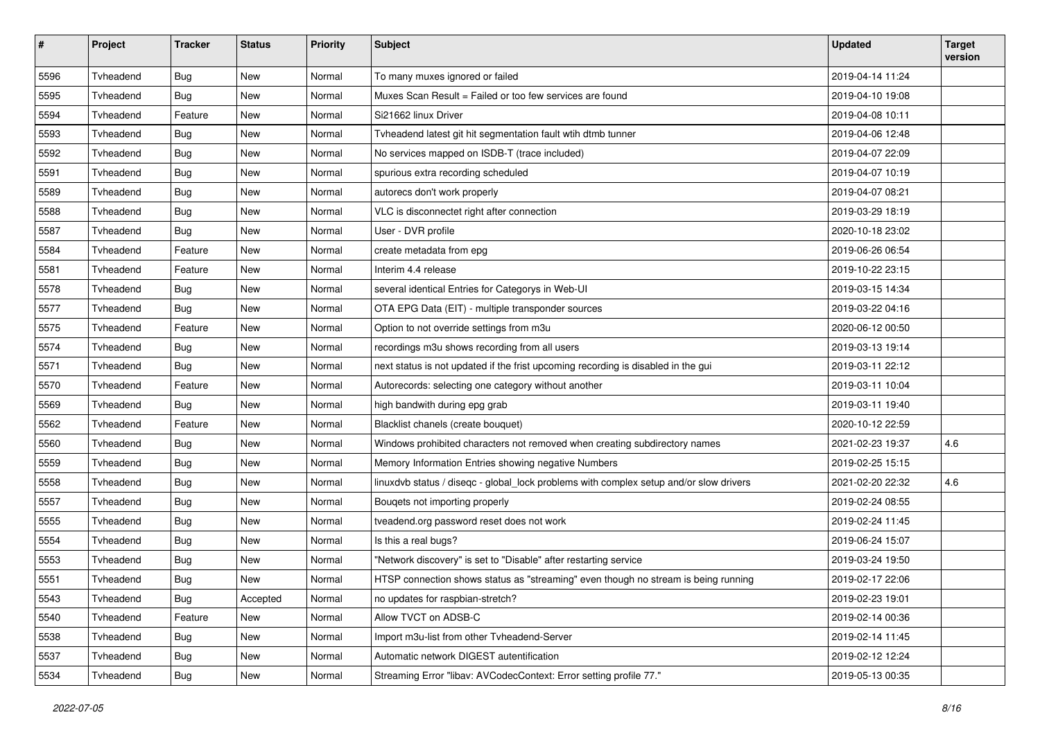| $\pmb{\#}$ | Project   | <b>Tracker</b> | <b>Status</b> | <b>Priority</b> | <b>Subject</b>                                                                         | <b>Updated</b>   | <b>Target</b><br>version |
|------------|-----------|----------------|---------------|-----------------|----------------------------------------------------------------------------------------|------------------|--------------------------|
| 5596       | Tvheadend | <b>Bug</b>     | <b>New</b>    | Normal          | To many muxes ignored or failed                                                        | 2019-04-14 11:24 |                          |
| 5595       | Tvheadend | <b>Bug</b>     | New           | Normal          | Muxes Scan Result = Failed or too few services are found                               | 2019-04-10 19:08 |                          |
| 5594       | Tvheadend | Feature        | New           | Normal          | Si21662 linux Driver                                                                   | 2019-04-08 10:11 |                          |
| 5593       | Tvheadend | Bug            | New           | Normal          | Tvheadend latest git hit segmentation fault wtih dtmb tunner                           | 2019-04-06 12:48 |                          |
| 5592       | Tvheadend | <b>Bug</b>     | New           | Normal          | No services mapped on ISDB-T (trace included)                                          | 2019-04-07 22:09 |                          |
| 5591       | Tvheadend | <b>Bug</b>     | <b>New</b>    | Normal          | spurious extra recording scheduled                                                     | 2019-04-07 10:19 |                          |
| 5589       | Tvheadend | <b>Bug</b>     | New           | Normal          | autorecs don't work properly                                                           | 2019-04-07 08:21 |                          |
| 5588       | Tvheadend | Bug            | New           | Normal          | VLC is disconnectet right after connection                                             | 2019-03-29 18:19 |                          |
| 5587       | Tvheadend | <b>Bug</b>     | <b>New</b>    | Normal          | User - DVR profile                                                                     | 2020-10-18 23:02 |                          |
| 5584       | Tvheadend | Feature        | New           | Normal          | create metadata from epg                                                               | 2019-06-26 06:54 |                          |
| 5581       | Tvheadend | Feature        | New           | Normal          | Interim 4.4 release                                                                    | 2019-10-22 23:15 |                          |
| 5578       | Tvheadend | <b>Bug</b>     | New           | Normal          | several identical Entries for Categorys in Web-UI                                      | 2019-03-15 14:34 |                          |
| 5577       | Tvheadend | Bug            | New           | Normal          | OTA EPG Data (EIT) - multiple transponder sources                                      | 2019-03-22 04:16 |                          |
| 5575       | Tvheadend | Feature        | <b>New</b>    | Normal          | Option to not override settings from m3u                                               | 2020-06-12 00:50 |                          |
| 5574       | Tvheadend | <b>Bug</b>     | New           | Normal          | recordings m3u shows recording from all users                                          | 2019-03-13 19:14 |                          |
| 5571       | Tvheadend | Bug            | <b>New</b>    | Normal          | next status is not updated if the frist upcoming recording is disabled in the gui      | 2019-03-11 22:12 |                          |
| 5570       | Tvheadend | Feature        | New           | Normal          | Autorecords: selecting one category without another                                    | 2019-03-11 10:04 |                          |
| 5569       | Tvheadend | <b>Bug</b>     | New           | Normal          | high bandwith during epg grab                                                          | 2019-03-11 19:40 |                          |
| 5562       | Tvheadend | Feature        | <b>New</b>    | Normal          | Blacklist chanels (create bouquet)                                                     | 2020-10-12 22:59 |                          |
| 5560       | Tvheadend | <b>Bug</b>     | New           | Normal          | Windows prohibited characters not removed when creating subdirectory names             | 2021-02-23 19:37 | 4.6                      |
| 5559       | Tvheadend | Bug            | New           | Normal          | Memory Information Entries showing negative Numbers                                    | 2019-02-25 15:15 |                          |
| 5558       | Tvheadend | <b>Bug</b>     | New           | Normal          | linuxdvb status / diseqc - global_lock problems with complex setup and/or slow drivers | 2021-02-20 22:32 | 4.6                      |
| 5557       | Tvheadend | <b>Bug</b>     | New           | Normal          | Bouqets not importing properly                                                         | 2019-02-24 08:55 |                          |
| 5555       | Tvheadend | Bug            | New           | Normal          | tveadend.org password reset does not work                                              | 2019-02-24 11:45 |                          |
| 5554       | Tvheadend | <b>Bug</b>     | New           | Normal          | Is this a real bugs?                                                                   | 2019-06-24 15:07 |                          |
| 5553       | Tvheadend | <b>Bug</b>     | New           | Normal          | "Network discovery" is set to "Disable" after restarting service                       | 2019-03-24 19:50 |                          |
| 5551       | Tvheadend | <b>Bug</b>     | New           | Normal          | HTSP connection shows status as "streaming" even though no stream is being running     | 2019-02-17 22:06 |                          |
| 5543       | Tvheadend | <b>Bug</b>     | Accepted      | Normal          | no updates for raspbian-stretch?                                                       | 2019-02-23 19:01 |                          |
| 5540       | Tvheadend | Feature        | New           | Normal          | Allow TVCT on ADSB-C                                                                   | 2019-02-14 00:36 |                          |
| 5538       | Tvheadend | Bug            | New           | Normal          | Import m3u-list from other Tvheadend-Server                                            | 2019-02-14 11:45 |                          |
| 5537       | Tvheadend | <b>Bug</b>     | New           | Normal          | Automatic network DIGEST autentification                                               | 2019-02-12 12:24 |                          |
| 5534       | Tvheadend | <b>Bug</b>     | New           | Normal          | Streaming Error "libav: AVCodecContext: Error setting profile 77."                     | 2019-05-13 00:35 |                          |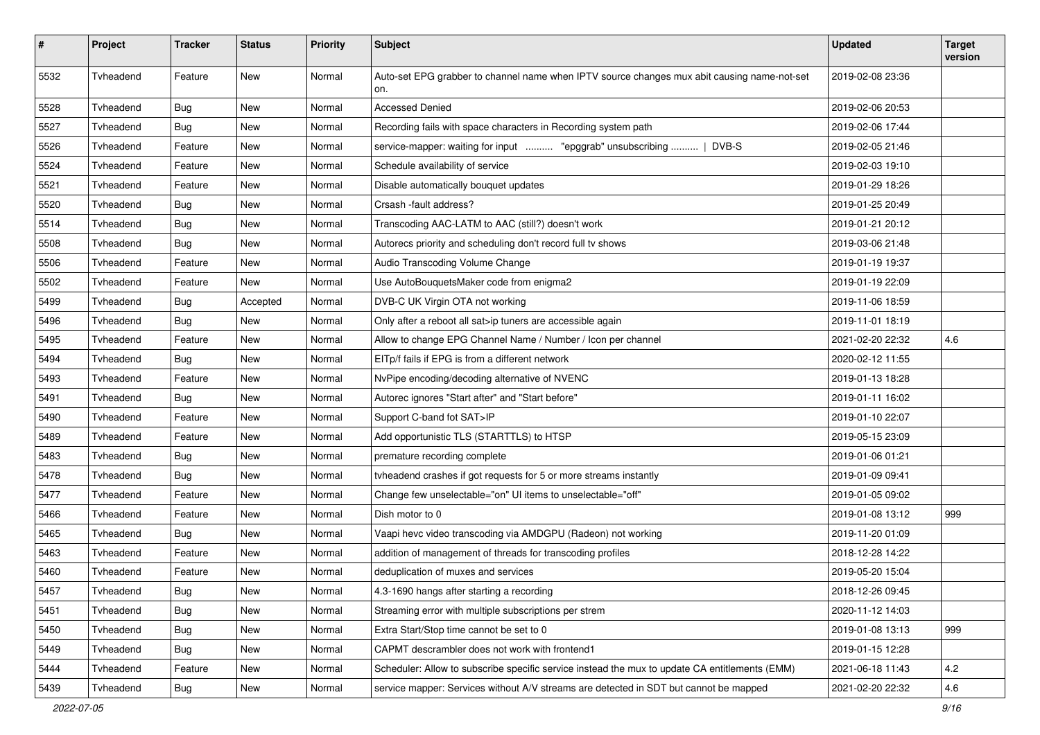| $\pmb{\#}$ | Project   | <b>Tracker</b> | <b>Status</b> | <b>Priority</b> | <b>Subject</b>                                                                                     | <b>Updated</b>   | <b>Target</b><br>version |
|------------|-----------|----------------|---------------|-----------------|----------------------------------------------------------------------------------------------------|------------------|--------------------------|
| 5532       | Tvheadend | Feature        | <b>New</b>    | Normal          | Auto-set EPG grabber to channel name when IPTV source changes mux abit causing name-not-set<br>on. | 2019-02-08 23:36 |                          |
| 5528       | Tvheadend | <b>Bug</b>     | New           | Normal          | <b>Accessed Denied</b>                                                                             | 2019-02-06 20:53 |                          |
| 5527       | Tvheadend | <b>Bug</b>     | <b>New</b>    | Normal          | Recording fails with space characters in Recording system path                                     | 2019-02-06 17:44 |                          |
| 5526       | Tvheadend | Feature        | New           | Normal          | service-mapper: waiting for input  "epggrab" unsubscribing    DVB-S                                | 2019-02-05 21:46 |                          |
| 5524       | Tvheadend | Feature        | New           | Normal          | Schedule availability of service                                                                   | 2019-02-03 19:10 |                          |
| 5521       | Tvheadend | Feature        | New           | Normal          | Disable automatically bouquet updates                                                              | 2019-01-29 18:26 |                          |
| 5520       | Tvheadend | <b>Bug</b>     | New           | Normal          | Crsash -fault address?                                                                             | 2019-01-25 20:49 |                          |
| 5514       | Tvheadend | Bug            | <b>New</b>    | Normal          | Transcoding AAC-LATM to AAC (still?) doesn't work                                                  | 2019-01-21 20:12 |                          |
| 5508       | Tvheadend | <b>Bug</b>     | New           | Normal          | Autorecs priority and scheduling don't record full tv shows                                        | 2019-03-06 21:48 |                          |
| 5506       | Tvheadend | Feature        | New           | Normal          | Audio Transcoding Volume Change                                                                    | 2019-01-19 19:37 |                          |
| 5502       | Tvheadend | Feature        | New           | Normal          | Use AutoBouquetsMaker code from enigma2                                                            | 2019-01-19 22:09 |                          |
| 5499       | Tvheadend | <b>Bug</b>     | Accepted      | Normal          | DVB-C UK Virgin OTA not working                                                                    | 2019-11-06 18:59 |                          |
| 5496       | Tvheadend | <b>Bug</b>     | <b>New</b>    | Normal          | Only after a reboot all sat>ip tuners are accessible again                                         | 2019-11-01 18:19 |                          |
| 5495       | Tvheadend | Feature        | New           | Normal          | Allow to change EPG Channel Name / Number / Icon per channel                                       | 2021-02-20 22:32 | 4.6                      |
| 5494       | Tvheadend | <b>Bug</b>     | New           | Normal          | EITp/f fails if EPG is from a different network                                                    | 2020-02-12 11:55 |                          |
| 5493       | Tvheadend | Feature        | New           | Normal          | NvPipe encoding/decoding alternative of NVENC                                                      | 2019-01-13 18:28 |                          |
| 5491       | Tvheadend | Bug            | New           | Normal          | Autorec ignores "Start after" and "Start before"                                                   | 2019-01-11 16:02 |                          |
| 5490       | Tvheadend | Feature        | New           | Normal          | Support C-band fot SAT>IP                                                                          | 2019-01-10 22:07 |                          |
| 5489       | Tvheadend | Feature        | New           | Normal          | Add opportunistic TLS (STARTTLS) to HTSP                                                           | 2019-05-15 23:09 |                          |
| 5483       | Tvheadend | <b>Bug</b>     | New           | Normal          | premature recording complete                                                                       | 2019-01-06 01:21 |                          |
| 5478       | Tvheadend | <b>Bug</b>     | New           | Normal          | tvheadend crashes if got requests for 5 or more streams instantly                                  | 2019-01-09 09:41 |                          |
| 5477       | Tvheadend | Feature        | New           | Normal          | Change few unselectable="on" UI items to unselectable="off"                                        | 2019-01-05 09:02 |                          |
| 5466       | Tvheadend | Feature        | New           | Normal          | Dish motor to 0                                                                                    | 2019-01-08 13:12 | 999                      |
| 5465       | Tvheadend | <b>Bug</b>     | New           | Normal          | Vaapi hevc video transcoding via AMDGPU (Radeon) not working                                       | 2019-11-20 01:09 |                          |
| 5463       | Tvheadend | Feature        | New           | Normal          | addition of management of threads for transcoding profiles                                         | 2018-12-28 14:22 |                          |
| 5460       | Tvheadend | Feature        | New           | Normal          | deduplication of muxes and services                                                                | 2019-05-20 15:04 |                          |
| 5457       | Tvheadend | Bug            | New           | Normal          | 4.3-1690 hangs after starting a recording                                                          | 2018-12-26 09:45 |                          |
| 5451       | Tvheadend | Bug            | New           | Normal          | Streaming error with multiple subscriptions per strem                                              | 2020-11-12 14:03 |                          |
| 5450       | Tvheadend | Bug            | New           | Normal          | Extra Start/Stop time cannot be set to 0                                                           | 2019-01-08 13:13 | 999                      |
| 5449       | Tvheadend | Bug            | New           | Normal          | CAPMT descrambler does not work with frontend1                                                     | 2019-01-15 12:28 |                          |
| 5444       | Tvheadend | Feature        | New           | Normal          | Scheduler: Allow to subscribe specific service instead the mux to update CA entitlements (EMM)     | 2021-06-18 11:43 | $4.2\,$                  |
| 5439       | Tvheadend | <b>Bug</b>     | New           | Normal          | service mapper: Services without A/V streams are detected in SDT but cannot be mapped              | 2021-02-20 22:32 | 4.6                      |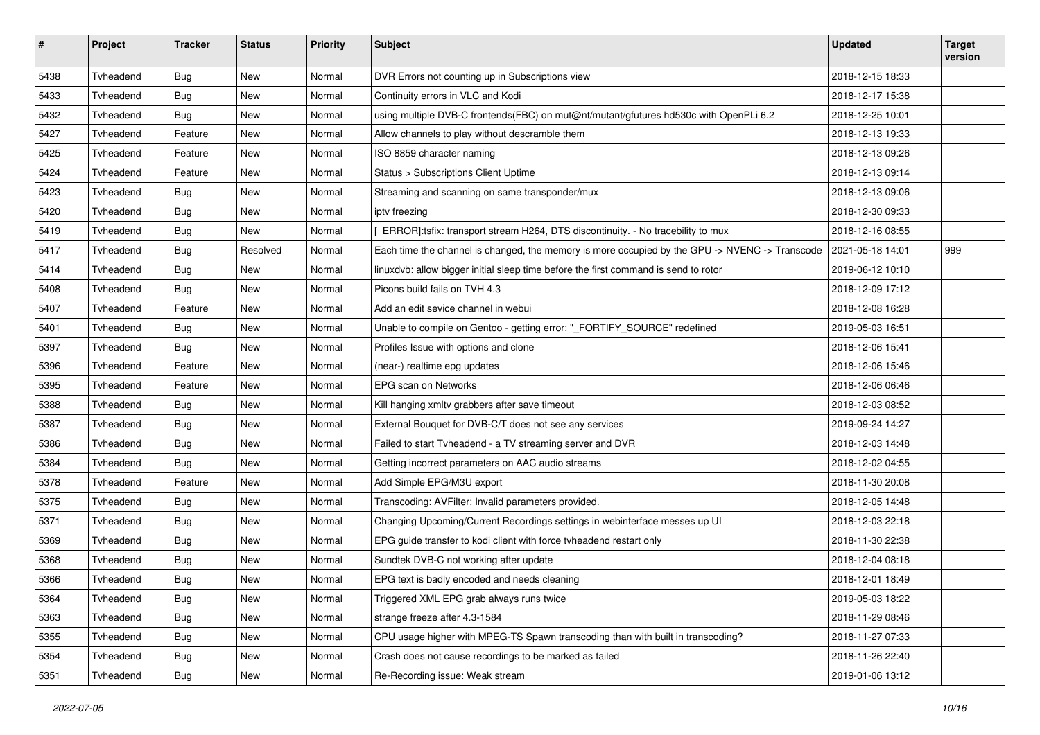| $\pmb{\#}$ | Project   | <b>Tracker</b> | <b>Status</b> | Priority | <b>Subject</b>                                                                                 | <b>Updated</b>   | <b>Target</b><br>version |
|------------|-----------|----------------|---------------|----------|------------------------------------------------------------------------------------------------|------------------|--------------------------|
| 5438       | Tvheadend | Bug            | <b>New</b>    | Normal   | DVR Errors not counting up in Subscriptions view                                               | 2018-12-15 18:33 |                          |
| 5433       | Tvheadend | <b>Bug</b>     | New           | Normal   | Continuity errors in VLC and Kodi                                                              | 2018-12-17 15:38 |                          |
| 5432       | Tvheadend | <b>Bug</b>     | New           | Normal   | using multiple DVB-C frontends(FBC) on mut@nt/mutant/gfutures hd530c with OpenPLi 6.2          | 2018-12-25 10:01 |                          |
| 5427       | Tvheadend | Feature        | New           | Normal   | Allow channels to play without descramble them                                                 | 2018-12-13 19:33 |                          |
| 5425       | Tvheadend | Feature        | New           | Normal   | ISO 8859 character naming                                                                      | 2018-12-13 09:26 |                          |
| 5424       | Tvheadend | Feature        | New           | Normal   | Status > Subscriptions Client Uptime                                                           | 2018-12-13 09:14 |                          |
| 5423       | Tvheadend | <b>Bug</b>     | New           | Normal   | Streaming and scanning on same transponder/mux                                                 | 2018-12-13 09:06 |                          |
| 5420       | Tvheadend | Bug            | New           | Normal   | ipty freezing                                                                                  | 2018-12-30 09:33 |                          |
| 5419       | Tvheadend | <b>Bug</b>     | New           | Normal   | ERROR]:tsfix: transport stream H264, DTS discontinuity. - No tracebility to mux                | 2018-12-16 08:55 |                          |
| 5417       | Tvheadend | <b>Bug</b>     | Resolved      | Normal   | Each time the channel is changed, the memory is more occupied by the GPU -> NVENC -> Transcode | 2021-05-18 14:01 | 999                      |
| 5414       | Tvheadend | <b>Bug</b>     | <b>New</b>    | Normal   | linuxdvb: allow bigger initial sleep time before the first command is send to rotor            | 2019-06-12 10:10 |                          |
| 5408       | Tvheadend | Bug            | New           | Normal   | Picons build fails on TVH 4.3                                                                  | 2018-12-09 17:12 |                          |
| 5407       | Tvheadend | Feature        | New           | Normal   | Add an edit sevice channel in webui                                                            | 2018-12-08 16:28 |                          |
| 5401       | Tvheadend | <b>Bug</b>     | New           | Normal   | Unable to compile on Gentoo - getting error: "_FORTIFY_SOURCE" redefined                       | 2019-05-03 16:51 |                          |
| 5397       | Tvheadend | <b>Bug</b>     | New           | Normal   | Profiles Issue with options and clone                                                          | 2018-12-06 15:41 |                          |
| 5396       | Tvheadend | Feature        | New           | Normal   | (near-) realtime epg updates                                                                   | 2018-12-06 15:46 |                          |
| 5395       | Tvheadend | Feature        | New           | Normal   | EPG scan on Networks                                                                           | 2018-12-06 06:46 |                          |
| 5388       | Tvheadend | <b>Bug</b>     | New           | Normal   | Kill hanging xmltv grabbers after save timeout                                                 | 2018-12-03 08:52 |                          |
| 5387       | Tvheadend | <b>Bug</b>     | <b>New</b>    | Normal   | External Bouquet for DVB-C/T does not see any services                                         | 2019-09-24 14:27 |                          |
| 5386       | Tvheadend | <b>Bug</b>     | New           | Normal   | Failed to start Tvheadend - a TV streaming server and DVR                                      | 2018-12-03 14:48 |                          |
| 5384       | Tvheadend | Bug            | New           | Normal   | Getting incorrect parameters on AAC audio streams                                              | 2018-12-02 04:55 |                          |
| 5378       | Tvheadend | Feature        | New           | Normal   | Add Simple EPG/M3U export                                                                      | 2018-11-30 20:08 |                          |
| 5375       | Tvheadend | <b>Bug</b>     | New           | Normal   | Transcoding: AVFilter: Invalid parameters provided.                                            | 2018-12-05 14:48 |                          |
| 5371       | Tvheadend | <b>Bug</b>     | New           | Normal   | Changing Upcoming/Current Recordings settings in webinterface messes up UI                     | 2018-12-03 22:18 |                          |
| 5369       | Tvheadend | Bug            | New           | Normal   | EPG guide transfer to kodi client with force tvheadend restart only                            | 2018-11-30 22:38 |                          |
| 5368       | Tvheadend | Bug            | New           | Normal   | Sundtek DVB-C not working after update                                                         | 2018-12-04 08:18 |                          |
| 5366       | Tvheadend | <b>Bug</b>     | New           | Normal   | EPG text is badly encoded and needs cleaning                                                   | 2018-12-01 18:49 |                          |
| 5364       | Tvheadend | Bug            | New           | Normal   | Triggered XML EPG grab always runs twice                                                       | 2019-05-03 18:22 |                          |
| 5363       | Tvheadend | Bug            | New           | Normal   | strange freeze after 4.3-1584                                                                  | 2018-11-29 08:46 |                          |
| 5355       | Tvheadend | Bug            | New           | Normal   | CPU usage higher with MPEG-TS Spawn transcoding than with built in transcoding?                | 2018-11-27 07:33 |                          |
| 5354       | Tvheadend | Bug            | New           | Normal   | Crash does not cause recordings to be marked as failed                                         | 2018-11-26 22:40 |                          |
| 5351       | Tvheadend | Bug            | New           | Normal   | Re-Recording issue: Weak stream                                                                | 2019-01-06 13:12 |                          |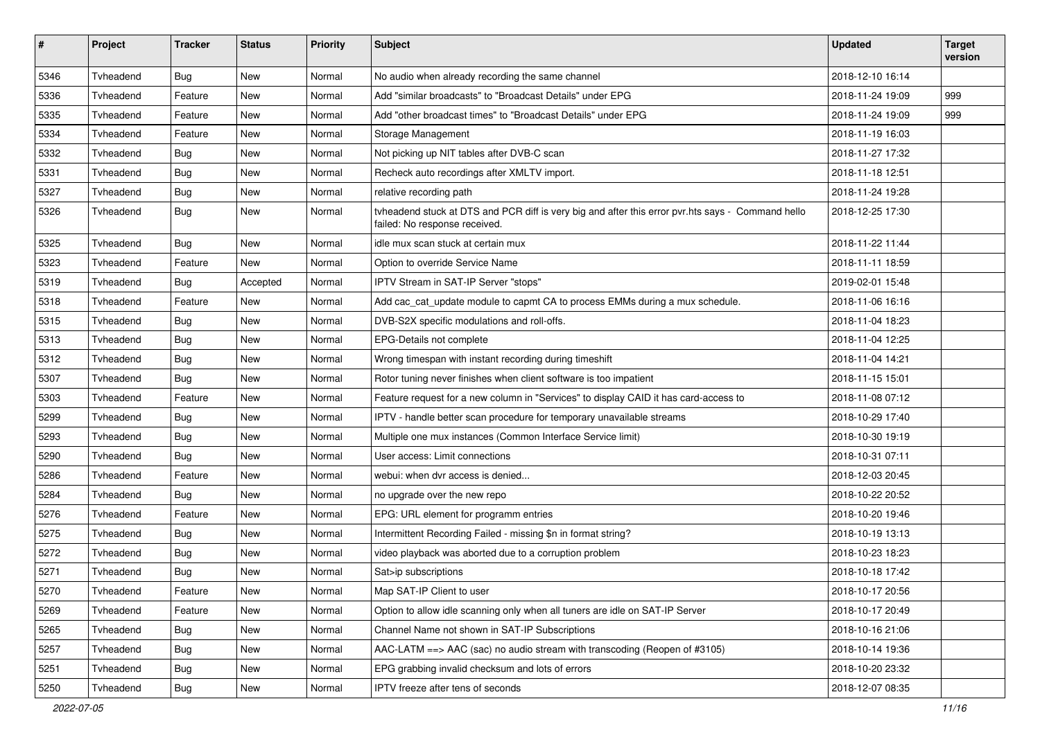| $\pmb{\#}$ | Project   | <b>Tracker</b> | <b>Status</b> | <b>Priority</b> | <b>Subject</b>                                                                                                                     | <b>Updated</b>   | <b>Target</b><br>version |
|------------|-----------|----------------|---------------|-----------------|------------------------------------------------------------------------------------------------------------------------------------|------------------|--------------------------|
| 5346       | Tvheadend | <b>Bug</b>     | <b>New</b>    | Normal          | No audio when already recording the same channel                                                                                   | 2018-12-10 16:14 |                          |
| 5336       | Tvheadend | Feature        | New           | Normal          | Add "similar broadcasts" to "Broadcast Details" under EPG                                                                          | 2018-11-24 19:09 | 999                      |
| 5335       | Tvheadend | Feature        | New           | Normal          | Add "other broadcast times" to "Broadcast Details" under EPG                                                                       | 2018-11-24 19:09 | 999                      |
| 5334       | Tvheadend | Feature        | New           | Normal          | Storage Management                                                                                                                 | 2018-11-19 16:03 |                          |
| 5332       | Tvheadend | <b>Bug</b>     | New           | Normal          | Not picking up NIT tables after DVB-C scan                                                                                         | 2018-11-27 17:32 |                          |
| 5331       | Tyheadend | <b>Bug</b>     | New           | Normal          | Recheck auto recordings after XMLTV import.                                                                                        | 2018-11-18 12:51 |                          |
| 5327       | Tvheadend | <b>Bug</b>     | New           | Normal          | relative recording path                                                                                                            | 2018-11-24 19:28 |                          |
| 5326       | Tvheadend | Bug            | New           | Normal          | tvheadend stuck at DTS and PCR diff is very big and after this error pvr.hts says - Command hello<br>failed: No response received. | 2018-12-25 17:30 |                          |
| 5325       | Tvheadend | Bug            | <b>New</b>    | Normal          | idle mux scan stuck at certain mux                                                                                                 | 2018-11-22 11:44 |                          |
| 5323       | Tvheadend | Feature        | New           | Normal          | Option to override Service Name                                                                                                    | 2018-11-11 18:59 |                          |
| 5319       | Tvheadend | <b>Bug</b>     | Accepted      | Normal          | IPTV Stream in SAT-IP Server "stops"                                                                                               | 2019-02-01 15:48 |                          |
| 5318       | Tvheadend | Feature        | New           | Normal          | Add cac_cat_update module to capmt CA to process EMMs during a mux schedule.                                                       | 2018-11-06 16:16 |                          |
| 5315       | Tyheadend | Bug            | <b>New</b>    | Normal          | DVB-S2X specific modulations and roll-offs.                                                                                        | 2018-11-04 18:23 |                          |
| 5313       | Tvheadend | Bug            | New           | Normal          | EPG-Details not complete                                                                                                           | 2018-11-04 12:25 |                          |
| 5312       | Tvheadend | Bug            | New           | Normal          | Wrong timespan with instant recording during timeshift                                                                             | 2018-11-04 14:21 |                          |
| 5307       | Tvheadend | <b>Bug</b>     | <b>New</b>    | Normal          | Rotor tuning never finishes when client software is too impatient                                                                  | 2018-11-15 15:01 |                          |
| 5303       | Tvheadend | Feature        | New           | Normal          | Feature request for a new column in "Services" to display CAID it has card-access to                                               | 2018-11-08 07:12 |                          |
| 5299       | Tvheadend | Bug            | New           | Normal          | IPTV - handle better scan procedure for temporary unavailable streams                                                              | 2018-10-29 17:40 |                          |
| 5293       | Tvheadend | <b>Bug</b>     | New           | Normal          | Multiple one mux instances (Common Interface Service limit)                                                                        | 2018-10-30 19:19 |                          |
| 5290       | Tvheadend | <b>Bug</b>     | New           | Normal          | User access: Limit connections                                                                                                     | 2018-10-31 07:11 |                          |
| 5286       | Tvheadend | Feature        | <b>New</b>    | Normal          | webui: when dvr access is denied                                                                                                   | 2018-12-03 20:45 |                          |
| 5284       | Tvheadend | <b>Bug</b>     | New           | Normal          | no upgrade over the new repo                                                                                                       | 2018-10-22 20:52 |                          |
| 5276       | Tvheadend | Feature        | New           | Normal          | EPG: URL element for programm entries                                                                                              | 2018-10-20 19:46 |                          |
| 5275       | Tvheadend | <b>Bug</b>     | New           | Normal          | Intermittent Recording Failed - missing \$n in format string?                                                                      | 2018-10-19 13:13 |                          |
| 5272       | Tvheadend | <b>Bug</b>     | New           | Normal          | video playback was aborted due to a corruption problem                                                                             | 2018-10-23 18:23 |                          |
| 5271       | Tvheadend | <b>Bug</b>     | New           | Normal          | Sat>ip subscriptions                                                                                                               | 2018-10-18 17:42 |                          |
| 5270       | Tvheadend | Feature        | New           | Normal          | Map SAT-IP Client to user                                                                                                          | 2018-10-17 20:56 |                          |
| 5269       | Tvheadend | Feature        | New           | Normal          | Option to allow idle scanning only when all tuners are idle on SAT-IP Server                                                       | 2018-10-17 20:49 |                          |
| 5265       | Tvheadend | Bug            | New           | Normal          | Channel Name not shown in SAT-IP Subscriptions                                                                                     | 2018-10-16 21:06 |                          |
| 5257       | Tvheadend | Bug            | New           | Normal          | AAC-LATM $==$ > AAC (sac) no audio stream with transcoding (Reopen of #3105)                                                       | 2018-10-14 19:36 |                          |
| 5251       | Tvheadend | <b>Bug</b>     | New           | Normal          | EPG grabbing invalid checksum and lots of errors                                                                                   | 2018-10-20 23:32 |                          |
| 5250       | Tvheadend | <b>Bug</b>     | New           | Normal          | IPTV freeze after tens of seconds                                                                                                  | 2018-12-07 08:35 |                          |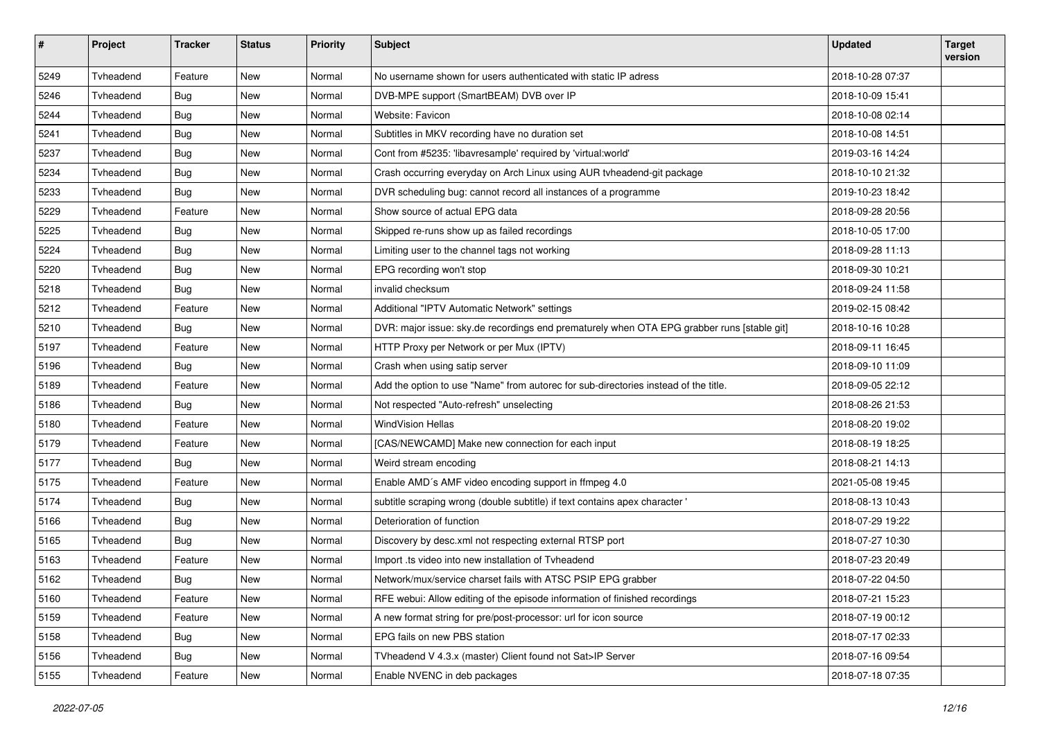| $\pmb{\#}$ | Project   | <b>Tracker</b> | <b>Status</b> | <b>Priority</b> | <b>Subject</b>                                                                             | <b>Updated</b>   | <b>Target</b><br>version |
|------------|-----------|----------------|---------------|-----------------|--------------------------------------------------------------------------------------------|------------------|--------------------------|
| 5249       | Tvheadend | Feature        | <b>New</b>    | Normal          | No username shown for users authenticated with static IP adress                            | 2018-10-28 07:37 |                          |
| 5246       | Tvheadend | <b>Bug</b>     | New           | Normal          | DVB-MPE support (SmartBEAM) DVB over IP                                                    | 2018-10-09 15:41 |                          |
| 5244       | Tvheadend | <b>Bug</b>     | New           | Normal          | Website: Favicon                                                                           | 2018-10-08 02:14 |                          |
| 5241       | Tvheadend | <b>Bug</b>     | New           | Normal          | Subtitles in MKV recording have no duration set                                            | 2018-10-08 14:51 |                          |
| 5237       | Tvheadend | <b>Bug</b>     | New           | Normal          | Cont from #5235: 'libavresample' required by 'virtual:world'                               | 2019-03-16 14:24 |                          |
| 5234       | Tvheadend | <b>Bug</b>     | <b>New</b>    | Normal          | Crash occurring everyday on Arch Linux using AUR tvheadend-git package                     | 2018-10-10 21:32 |                          |
| 5233       | Tvheadend | <b>Bug</b>     | New           | Normal          | DVR scheduling bug: cannot record all instances of a programme                             | 2019-10-23 18:42 |                          |
| 5229       | Tvheadend | Feature        | New           | Normal          | Show source of actual EPG data                                                             | 2018-09-28 20:56 |                          |
| 5225       | Tvheadend | <b>Bug</b>     | New           | Normal          | Skipped re-runs show up as failed recordings                                               | 2018-10-05 17:00 |                          |
| 5224       | Tvheadend | <b>Bug</b>     | New           | Normal          | Limiting user to the channel tags not working                                              | 2018-09-28 11:13 |                          |
| 5220       | Tvheadend | Bug            | New           | Normal          | EPG recording won't stop                                                                   | 2018-09-30 10:21 |                          |
| 5218       | Tvheadend | Bug            | New           | Normal          | invalid checksum                                                                           | 2018-09-24 11:58 |                          |
| 5212       | Tvheadend | Feature        | New           | Normal          | Additional "IPTV Automatic Network" settings                                               | 2019-02-15 08:42 |                          |
| 5210       | Tvheadend | Bug            | <b>New</b>    | Normal          | DVR: major issue: sky.de recordings end prematurely when OTA EPG grabber runs [stable git] | 2018-10-16 10:28 |                          |
| 5197       | Tvheadend | Feature        | New           | Normal          | HTTP Proxy per Network or per Mux (IPTV)                                                   | 2018-09-11 16:45 |                          |
| 5196       | Tvheadend | Bug            | New           | Normal          | Crash when using satip server                                                              | 2018-09-10 11:09 |                          |
| 5189       | Tvheadend | Feature        | New           | Normal          | Add the option to use "Name" from autorec for sub-directories instead of the title.        | 2018-09-05 22:12 |                          |
| 5186       | Tvheadend | <b>Bug</b>     | New           | Normal          | Not respected "Auto-refresh" unselecting                                                   | 2018-08-26 21:53 |                          |
| 5180       | Tvheadend | Feature        | <b>New</b>    | Normal          | <b>WindVision Hellas</b>                                                                   | 2018-08-20 19:02 |                          |
| 5179       | Tvheadend | Feature        | New           | Normal          | [CAS/NEWCAMD] Make new connection for each input                                           | 2018-08-19 18:25 |                          |
| 5177       | Tvheadend | Bug            | New           | Normal          | Weird stream encoding                                                                      | 2018-08-21 14:13 |                          |
| 5175       | Tvheadend | Feature        | New           | Normal          | Enable AMD's AMF video encoding support in ffmpeg 4.0                                      | 2021-05-08 19:45 |                          |
| 5174       | Tvheadend | <b>Bug</b>     | New           | Normal          | subtitle scraping wrong (double subtitle) if text contains apex character '                | 2018-08-13 10:43 |                          |
| 5166       | Tvheadend | Bug            | New           | Normal          | Deterioration of function                                                                  | 2018-07-29 19:22 |                          |
| 5165       | Tvheadend | <b>Bug</b>     | New           | Normal          | Discovery by desc.xml not respecting external RTSP port                                    | 2018-07-27 10:30 |                          |
| 5163       | Tvheadend | Feature        | New           | Normal          | Import .ts video into new installation of Tvheadend                                        | 2018-07-23 20:49 |                          |
| 5162       | Tvheadend | Bug            | New           | Normal          | Network/mux/service charset fails with ATSC PSIP EPG grabber                               | 2018-07-22 04:50 |                          |
| 5160       | Tvheadend | Feature        | New           | Normal          | RFE webui: Allow editing of the episode information of finished recordings                 | 2018-07-21 15:23 |                          |
| 5159       | Tvheadend | Feature        | New           | Normal          | A new format string for pre/post-processor: url for icon source                            | 2018-07-19 00:12 |                          |
| 5158       | Tvheadend | Bug            | New           | Normal          | EPG fails on new PBS station                                                               | 2018-07-17 02:33 |                          |
| 5156       | Tvheadend | <b>Bug</b>     | New           | Normal          | TVheadend V 4.3.x (master) Client found not Sat>IP Server                                  | 2018-07-16 09:54 |                          |
| 5155       | Tvheadend | Feature        | New           | Normal          | Enable NVENC in deb packages                                                               | 2018-07-18 07:35 |                          |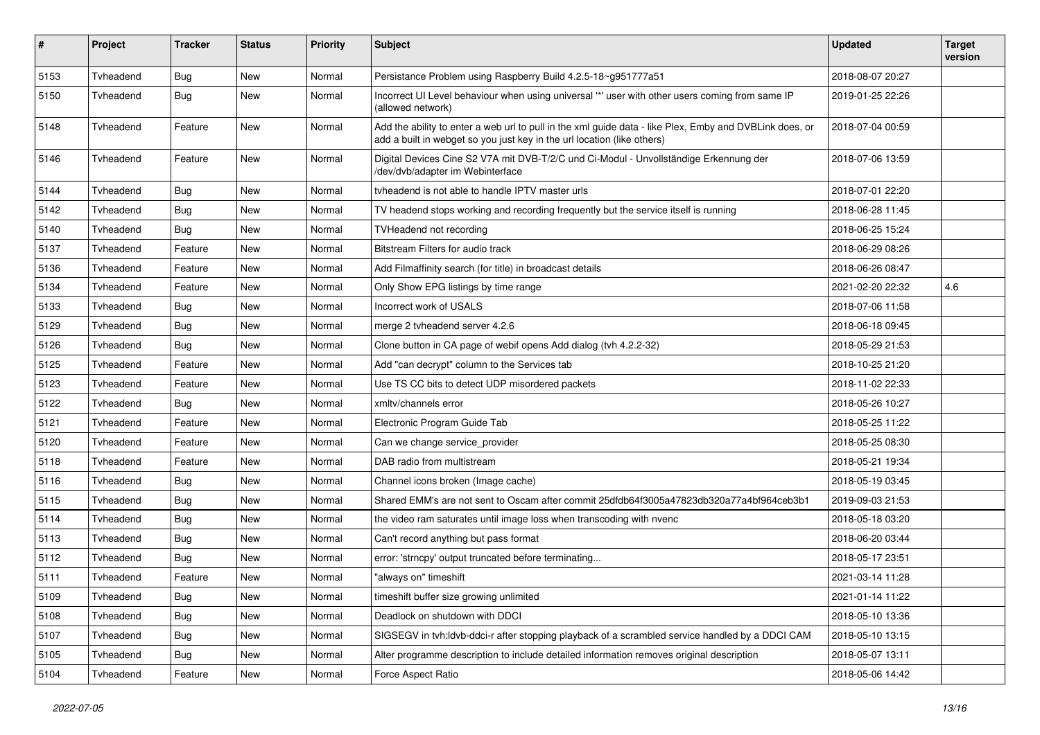| $\sharp$ | Project   | <b>Tracker</b> | <b>Status</b> | <b>Priority</b> | Subject                                                                                                                                                                            | <b>Updated</b>   | <b>Target</b><br>version |
|----------|-----------|----------------|---------------|-----------------|------------------------------------------------------------------------------------------------------------------------------------------------------------------------------------|------------------|--------------------------|
| 5153     | Tvheadend | Bug            | <b>New</b>    | Normal          | Persistance Problem using Raspberry Build 4.2.5-18~g951777a51                                                                                                                      | 2018-08-07 20:27 |                          |
| 5150     | Tvheadend | <b>Bug</b>     | New           | Normal          | Incorrect UI Level behaviour when using universal "*' user with other users coming from same IP<br>(allowed network)                                                               | 2019-01-25 22:26 |                          |
| 5148     | Tyheadend | Feature        | <b>New</b>    | Normal          | Add the ability to enter a web url to pull in the xml guide data - like Plex, Emby and DVBLink does, or<br>add a built in webget so you just key in the url location (like others) | 2018-07-04 00:59 |                          |
| 5146     | Tyheadend | Feature        | New           | Normal          | Digital Devices Cine S2 V7A mit DVB-T/2/C und Ci-Modul - Unvollständige Erkennung der<br>/dev/dvb/adapter im Webinterface                                                          | 2018-07-06 13:59 |                          |
| 5144     | Tvheadend | <b>Bug</b>     | <b>New</b>    | Normal          | tyheadend is not able to handle IPTV master urls                                                                                                                                   | 2018-07-01 22:20 |                          |
| 5142     | Tvheadend | Bug            | New           | Normal          | TV headend stops working and recording frequently but the service itself is running                                                                                                | 2018-06-28 11:45 |                          |
| 5140     | Tvheadend | <b>Bug</b>     | New           | Normal          | <b>TVHeadend not recording</b>                                                                                                                                                     | 2018-06-25 15:24 |                          |
| 5137     | Tvheadend | Feature        | New           | Normal          | Bitstream Filters for audio track                                                                                                                                                  | 2018-06-29 08:26 |                          |
| 5136     | Tvheadend | Feature        | New           | Normal          | Add Filmaffinity search (for title) in broadcast details                                                                                                                           | 2018-06-26 08:47 |                          |
| 5134     | Tvheadend | Feature        | New           | Normal          | Only Show EPG listings by time range                                                                                                                                               | 2021-02-20 22:32 | 4.6                      |
| 5133     | Tvheadend | Bug            | <b>New</b>    | Normal          | Incorrect work of USALS                                                                                                                                                            | 2018-07-06 11:58 |                          |
| 5129     | Tvheadend | <b>Bug</b>     | New           | Normal          | merge 2 tyheadend server 4.2.6                                                                                                                                                     | 2018-06-18 09:45 |                          |
| 5126     | Tvheadend | Bug            | New           | Normal          | Clone button in CA page of webif opens Add dialog (tvh 4.2.2-32)                                                                                                                   | 2018-05-29 21:53 |                          |
| 5125     | Tvheadend | Feature        | <b>New</b>    | Normal          | Add "can decrypt" column to the Services tab                                                                                                                                       | 2018-10-25 21:20 |                          |
| 5123     | Tvheadend | Feature        | New           | Normal          | Use TS CC bits to detect UDP misordered packets                                                                                                                                    | 2018-11-02 22:33 |                          |
| 5122     | Tvheadend | <b>Bug</b>     | New           | Normal          | xmltv/channels error                                                                                                                                                               | 2018-05-26 10:27 |                          |
| 5121     | Tvheadend | Feature        | New           | Normal          | Electronic Program Guide Tab                                                                                                                                                       | 2018-05-25 11:22 |                          |
| 5120     | Tvheadend | Feature        | New           | Normal          | Can we change service_provider                                                                                                                                                     | 2018-05-25 08:30 |                          |
| 5118     | Tvheadend | Feature        | <b>New</b>    | Normal          | DAB radio from multistream                                                                                                                                                         | 2018-05-21 19:34 |                          |
| 5116     | Tvheadend | <b>Bug</b>     | New           | Normal          | Channel icons broken (Image cache)                                                                                                                                                 | 2018-05-19 03:45 |                          |
| 5115     | Tvheadend | <b>Bug</b>     | New           | Normal          | Shared EMM's are not sent to Oscam after commit 25dfdb64f3005a47823db320a77a4bf964ceb3b1                                                                                           | 2019-09-03 21:53 |                          |
| 5114     | Tvheadend | <b>Bug</b>     | New           | Normal          | the video ram saturates until image loss when transcoding with nvenc                                                                                                               | 2018-05-18 03:20 |                          |
| 5113     | Tvheadend | <b>Bug</b>     | New           | Normal          | Can't record anything but pass format                                                                                                                                              | 2018-06-20 03:44 |                          |
| 5112     | Tvheadend | Bug            | New           | Normal          | error: 'strncpy' output truncated before terminating                                                                                                                               | 2018-05-17 23:51 |                          |
| 5111     | Tvheadend | Feature        | New           | Normal          | 'always on" timeshift                                                                                                                                                              | 2021-03-14 11:28 |                          |
| 5109     | Tvheadend | <b>Bug</b>     | New           | Normal          | timeshift buffer size growing unlimited                                                                                                                                            | 2021-01-14 11:22 |                          |
| 5108     | Tvheadend | <b>Bug</b>     | New           | Normal          | Deadlock on shutdown with DDCI                                                                                                                                                     | 2018-05-10 13:36 |                          |
| 5107     | Tvheadend | Bug            | New           | Normal          | SIGSEGV in tvh:ldvb-ddci-r after stopping playback of a scrambled service handled by a DDCI CAM                                                                                    | 2018-05-10 13:15 |                          |
| 5105     | Tvheadend | <b>Bug</b>     | New           | Normal          | Alter programme description to include detailed information removes original description                                                                                           | 2018-05-07 13:11 |                          |
| 5104     | Tvheadend | Feature        | New           | Normal          | Force Aspect Ratio                                                                                                                                                                 | 2018-05-06 14:42 |                          |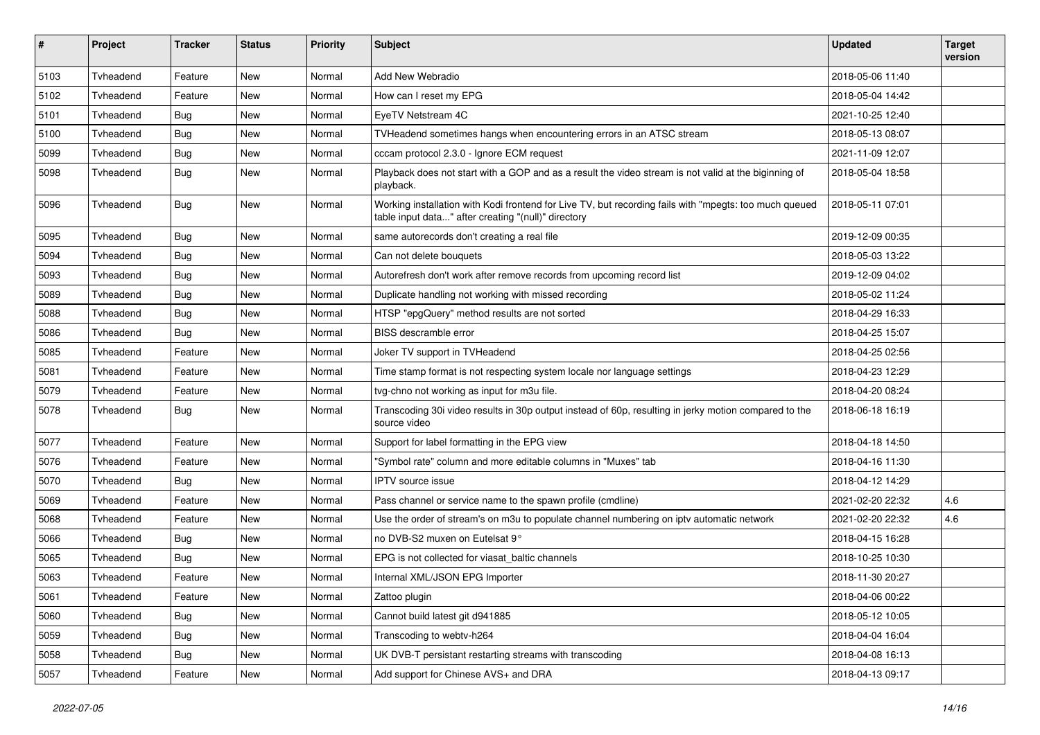| $\pmb{\#}$ | Project   | <b>Tracker</b> | <b>Status</b> | Priority | <b>Subject</b>                                                                                                                                                | <b>Updated</b>   | <b>Target</b><br>version |
|------------|-----------|----------------|---------------|----------|---------------------------------------------------------------------------------------------------------------------------------------------------------------|------------------|--------------------------|
| 5103       | Tvheadend | Feature        | <b>New</b>    | Normal   | Add New Webradio                                                                                                                                              | 2018-05-06 11:40 |                          |
| 5102       | Tvheadend | Feature        | New           | Normal   | How can I reset my EPG                                                                                                                                        | 2018-05-04 14:42 |                          |
| 5101       | Tvheadend | <b>Bug</b>     | New           | Normal   | EyeTV Netstream 4C                                                                                                                                            | 2021-10-25 12:40 |                          |
| 5100       | Tvheadend | <b>Bug</b>     | New           | Normal   | TVHeadend sometimes hangs when encountering errors in an ATSC stream                                                                                          | 2018-05-13 08:07 |                          |
| 5099       | Tvheadend | <b>Bug</b>     | New           | Normal   | cccam protocol 2.3.0 - Ignore ECM request                                                                                                                     | 2021-11-09 12:07 |                          |
| 5098       | Tyheadend | Bug            | New           | Normal   | Playback does not start with a GOP and as a result the video stream is not valid at the biginning of<br>playback.                                             | 2018-05-04 18:58 |                          |
| 5096       | Tyheadend | <b>Bug</b>     | New           | Normal   | Working installation with Kodi frontend for Live TV, but recording fails with "mpegts: too much queued<br>table input data" after creating "(null)" directory | 2018-05-11 07:01 |                          |
| 5095       | Tvheadend | Bug            | New           | Normal   | same autorecords don't creating a real file                                                                                                                   | 2019-12-09 00:35 |                          |
| 5094       | Tvheadend | <b>Bug</b>     | <b>New</b>    | Normal   | Can not delete bouquets                                                                                                                                       | 2018-05-03 13:22 |                          |
| 5093       | Tvheadend | <b>Bug</b>     | New           | Normal   | Autorefresh don't work after remove records from upcoming record list                                                                                         | 2019-12-09 04:02 |                          |
| 5089       | Tvheadend | <b>Bug</b>     | New           | Normal   | Duplicate handling not working with missed recording                                                                                                          | 2018-05-02 11:24 |                          |
| 5088       | Tvheadend | Bug            | New           | Normal   | HTSP "epgQuery" method results are not sorted                                                                                                                 | 2018-04-29 16:33 |                          |
| 5086       | Tvheadend | <b>Bug</b>     | New           | Normal   | BISS descramble error                                                                                                                                         | 2018-04-25 15:07 |                          |
| 5085       | Tvheadend | Feature        | New           | Normal   | Joker TV support in TVHeadend                                                                                                                                 | 2018-04-25 02:56 |                          |
| 5081       | Tvheadend | Feature        | New           | Normal   | Time stamp format is not respecting system locale nor language settings                                                                                       | 2018-04-23 12:29 |                          |
| 5079       | Tvheadend | Feature        | New           | Normal   | tvg-chno not working as input for m3u file.                                                                                                                   | 2018-04-20 08:24 |                          |
| 5078       | Tvheadend | <b>Bug</b>     | New           | Normal   | Transcoding 30i video results in 30p output instead of 60p, resulting in jerky motion compared to the<br>source video                                         | 2018-06-18 16:19 |                          |
| 5077       | Tvheadend | Feature        | New           | Normal   | Support for label formatting in the EPG view                                                                                                                  | 2018-04-18 14:50 |                          |
| 5076       | Tvheadend | Feature        | <b>New</b>    | Normal   | 'Symbol rate" column and more editable columns in "Muxes" tab                                                                                                 | 2018-04-16 11:30 |                          |
| 5070       | Tyheadend | <b>Bug</b>     | New           | Normal   | <b>IPTV</b> source issue                                                                                                                                      | 2018-04-12 14:29 |                          |
| 5069       | Tvheadend | Feature        | New           | Normal   | Pass channel or service name to the spawn profile (cmdline)                                                                                                   | 2021-02-20 22:32 | 4.6                      |
| 5068       | Tvheadend | Feature        | New           | Normal   | Use the order of stream's on m3u to populate channel numbering on iptv automatic network                                                                      | 2021-02-20 22:32 | 4.6                      |
| 5066       | Tvheadend | <b>Bug</b>     | New           | Normal   | no DVB-S2 muxen on Eutelsat 9°                                                                                                                                | 2018-04-15 16:28 |                          |
| 5065       | Tvheadend | <b>Bug</b>     | <b>New</b>    | Normal   | EPG is not collected for viasat_baltic channels                                                                                                               | 2018-10-25 10:30 |                          |
| 5063       | Tvheadend | Feature        | New           | Normal   | Internal XML/JSON EPG Importer                                                                                                                                | 2018-11-30 20:27 |                          |
| 5061       | Tvheadend | Feature        | New           | Normal   | Zattoo plugin                                                                                                                                                 | 2018-04-06 00:22 |                          |
| 5060       | Tvheadend | Bug            | New           | Normal   | Cannot build latest git d941885                                                                                                                               | 2018-05-12 10:05 |                          |
| 5059       | Tvheadend | Bug            | New           | Normal   | Transcoding to webtv-h264                                                                                                                                     | 2018-04-04 16:04 |                          |
| 5058       | Tvheadend | Bug            | New           | Normal   | UK DVB-T persistant restarting streams with transcoding                                                                                                       | 2018-04-08 16:13 |                          |
| 5057       | Tvheadend | Feature        | New           | Normal   | Add support for Chinese AVS+ and DRA                                                                                                                          | 2018-04-13 09:17 |                          |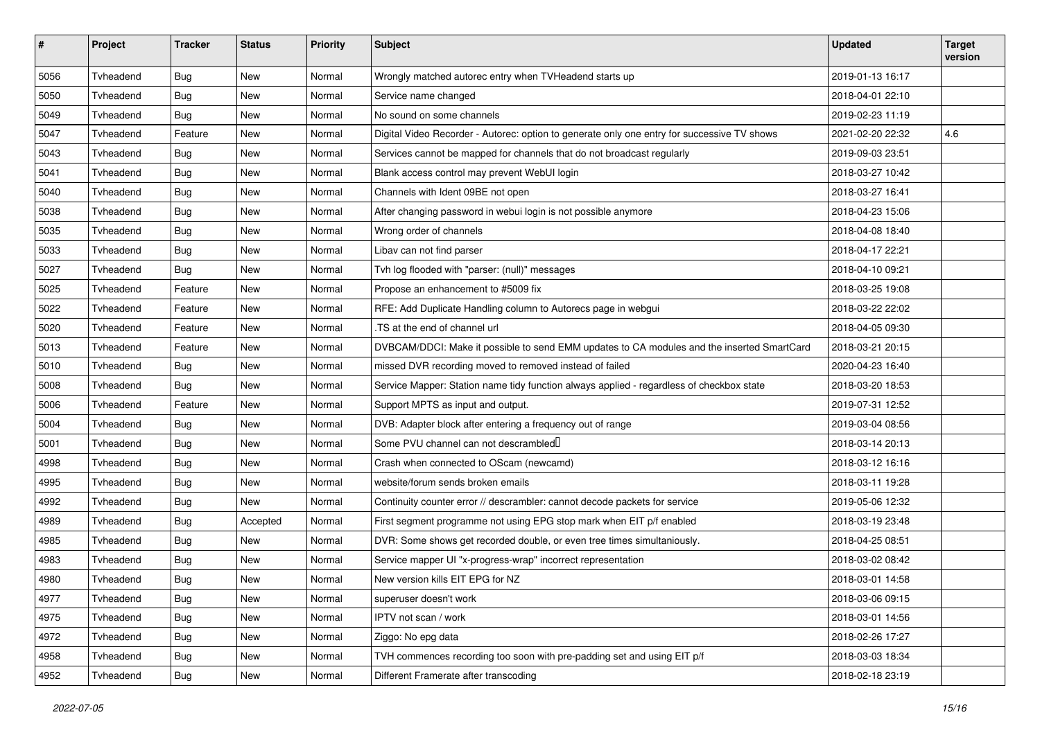| $\pmb{\#}$ | Project   | <b>Tracker</b> | <b>Status</b> | <b>Priority</b> | <b>Subject</b>                                                                              | <b>Updated</b>   | <b>Target</b><br>version |
|------------|-----------|----------------|---------------|-----------------|---------------------------------------------------------------------------------------------|------------------|--------------------------|
| 5056       | Tvheadend | <b>Bug</b>     | <b>New</b>    | Normal          | Wrongly matched autorec entry when TVHeadend starts up                                      | 2019-01-13 16:17 |                          |
| 5050       | Tvheadend | <b>Bug</b>     | New           | Normal          | Service name changed                                                                        | 2018-04-01 22:10 |                          |
| 5049       | Tvheadend | <b>Bug</b>     | New           | Normal          | No sound on some channels                                                                   | 2019-02-23 11:19 |                          |
| 5047       | Tvheadend | Feature        | New           | Normal          | Digital Video Recorder - Autorec: option to generate only one entry for successive TV shows | 2021-02-20 22:32 | 4.6                      |
| 5043       | Tvheadend | <b>Bug</b>     | New           | Normal          | Services cannot be mapped for channels that do not broadcast regularly                      | 2019-09-03 23:51 |                          |
| 5041       | Tvheadend | Bug            | New           | Normal          | Blank access control may prevent WebUI login                                                | 2018-03-27 10:42 |                          |
| 5040       | Tvheadend | <b>Bug</b>     | New           | Normal          | Channels with Ident 09BE not open                                                           | 2018-03-27 16:41 |                          |
| 5038       | Tvheadend | <b>Bug</b>     | New           | Normal          | After changing password in webui login is not possible anymore                              | 2018-04-23 15:06 |                          |
| 5035       | Tvheadend | <b>Bug</b>     | New           | Normal          | Wrong order of channels                                                                     | 2018-04-08 18:40 |                          |
| 5033       | Tvheadend | <b>Bug</b>     | New           | Normal          | Libav can not find parser                                                                   | 2018-04-17 22:21 |                          |
| 5027       | Tvheadend | Bug            | New           | Normal          | Tvh log flooded with "parser: (null)" messages                                              | 2018-04-10 09:21 |                          |
| 5025       | Tvheadend | Feature        | New           | Normal          | Propose an enhancement to #5009 fix                                                         | 2018-03-25 19:08 |                          |
| 5022       | Tvheadend | Feature        | New           | Normal          | RFE: Add Duplicate Handling column to Autorecs page in webgui                               | 2018-03-22 22:02 |                          |
| 5020       | Tvheadend | Feature        | New           | Normal          | .TS at the end of channel url                                                               | 2018-04-05 09:30 |                          |
| 5013       | Tvheadend | Feature        | New           | Normal          | DVBCAM/DDCI: Make it possible to send EMM updates to CA modules and the inserted SmartCard  | 2018-03-21 20:15 |                          |
| 5010       | Tvheadend | <b>Bug</b>     | New           | Normal          | missed DVR recording moved to removed instead of failed                                     | 2020-04-23 16:40 |                          |
| 5008       | Tvheadend | <b>Bug</b>     | New           | Normal          | Service Mapper: Station name tidy function always applied - regardless of checkbox state    | 2018-03-20 18:53 |                          |
| 5006       | Tvheadend | Feature        | New           | Normal          | Support MPTS as input and output.                                                           | 2019-07-31 12:52 |                          |
| 5004       | Tvheadend | Bug            | New           | Normal          | DVB: Adapter block after entering a frequency out of range                                  | 2019-03-04 08:56 |                          |
| 5001       | Tvheadend | <b>Bug</b>     | New           | Normal          | Some PVU channel can not descrambled                                                        | 2018-03-14 20:13 |                          |
| 4998       | Tvheadend | <b>Bug</b>     | New           | Normal          | Crash when connected to OScam (newcamd)                                                     | 2018-03-12 16:16 |                          |
| 4995       | Tvheadend | <b>Bug</b>     | New           | Normal          | website/forum sends broken emails                                                           | 2018-03-11 19:28 |                          |
| 4992       | Tvheadend | <b>Bug</b>     | New           | Normal          | Continuity counter error // descrambler: cannot decode packets for service                  | 2019-05-06 12:32 |                          |
| 4989       | Tvheadend | Bug            | Accepted      | Normal          | First segment programme not using EPG stop mark when EIT p/f enabled                        | 2018-03-19 23:48 |                          |
| 4985       | Tvheadend | <b>Bug</b>     | New           | Normal          | DVR: Some shows get recorded double, or even tree times simultaniously.                     | 2018-04-25 08:51 |                          |
| 4983       | Tvheadend | <b>Bug</b>     | New           | Normal          | Service mapper UI "x-progress-wrap" incorrect representation                                | 2018-03-02 08:42 |                          |
| 4980       | Tvheadend | Bug            | New           | Normal          | New version kills EIT EPG for NZ                                                            | 2018-03-01 14:58 |                          |
| 4977       | Tvheadend | Bug            | New           | Normal          | superuser doesn't work                                                                      | 2018-03-06 09:15 |                          |
| 4975       | Tvheadend | Bug            | <b>New</b>    | Normal          | IPTV not scan / work                                                                        | 2018-03-01 14:56 |                          |
| 4972       | Tvheadend | Bug            | New           | Normal          | Ziggo: No epg data                                                                          | 2018-02-26 17:27 |                          |
| 4958       | Tvheadend | <b>Bug</b>     | New           | Normal          | TVH commences recording too soon with pre-padding set and using EIT p/f                     | 2018-03-03 18:34 |                          |
| 4952       | Tvheadend | Bug            | New           | Normal          | Different Framerate after transcoding                                                       | 2018-02-18 23:19 |                          |